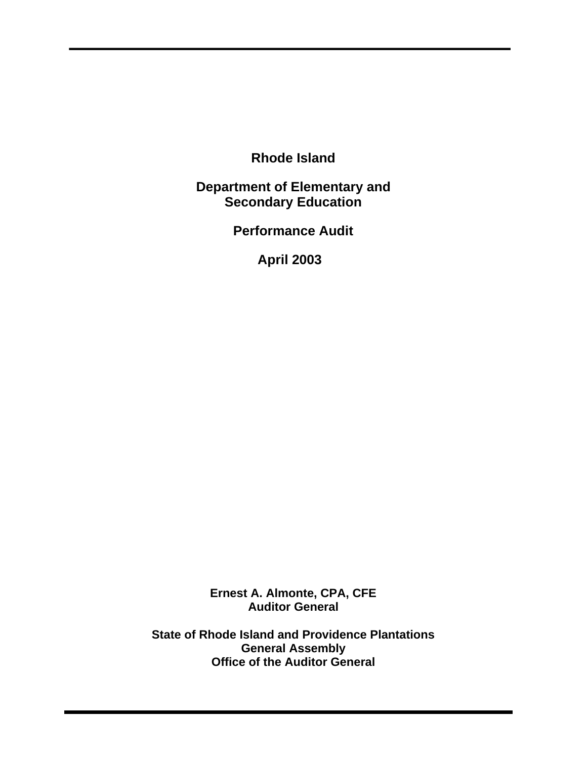**Rhode Island**

**Department of Elementary and Secondary Education**

**Performance Audit**

**April 2003**

**Ernest A. Almonte, CPA, CFE Auditor General**

**State of Rhode Island and Providence Plantations General Assembly Office of the Auditor General**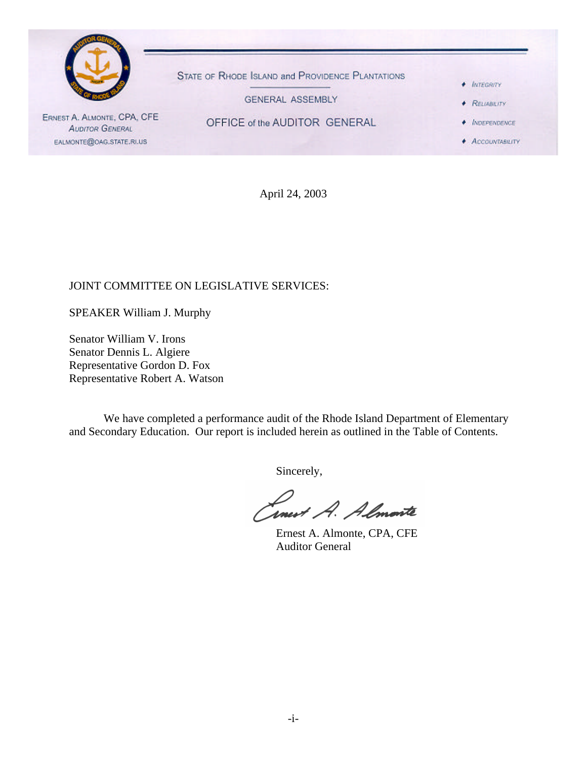

April 24, 2003

### JOINT COMMITTEE ON LEGISLATIVE SERVICES:

SPEAKER William J. Murphy

Senator William V. Irons Senator Dennis L. Algiere Representative Gordon D. Fox Representative Robert A. Watson

We have completed a performance audit of the Rhode Island Department of Elementary and Secondary Education. Our report is included herein as outlined in the Table of Contents.

Sincerely,

Linest A. Almonte

Ernest A. Almonte, CPA, CFE Auditor General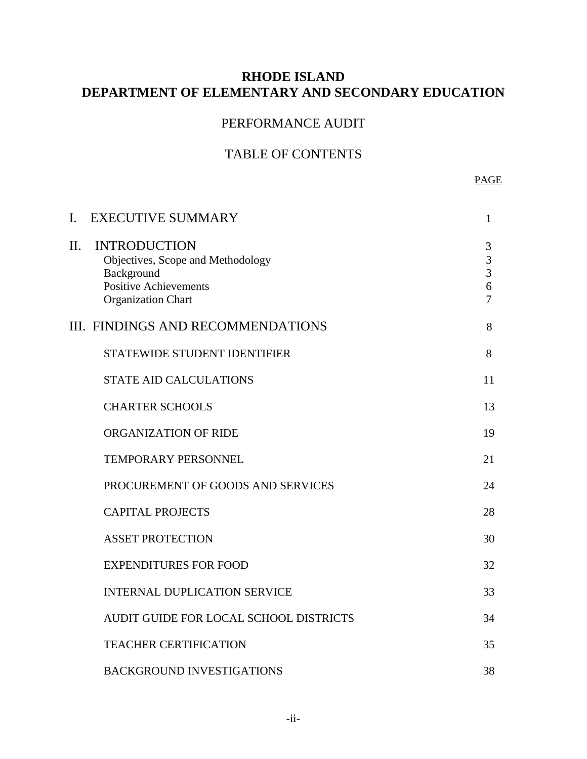# **RHODE ISLAND DEPARTMENT OF ELEMENTARY AND SECONDARY EDUCATION**

# PERFORMANCE AUDIT

# TABLE OF CONTENTS

#### PAGE

| I.  | <b>EXECUTIVE SUMMARY</b>                                                                                                            | $\mathbf{1}$                                    |
|-----|-------------------------------------------------------------------------------------------------------------------------------------|-------------------------------------------------|
| II. | <b>INTRODUCTION</b><br>Objectives, Scope and Methodology<br>Background<br><b>Positive Achievements</b><br><b>Organization Chart</b> | 3<br>3<br>$\overline{3}$<br>6<br>$\overline{7}$ |
|     | <b>III. FINDINGS AND RECOMMENDATIONS</b>                                                                                            | 8                                               |
|     | STATEWIDE STUDENT IDENTIFIER                                                                                                        | 8                                               |
|     | <b>STATE AID CALCULATIONS</b>                                                                                                       | 11                                              |
|     | <b>CHARTER SCHOOLS</b>                                                                                                              | 13                                              |
|     | ORGANIZATION OF RIDE                                                                                                                | 19                                              |
|     | <b>TEMPORARY PERSONNEL</b>                                                                                                          | 21                                              |
|     | PROCUREMENT OF GOODS AND SERVICES                                                                                                   | 24                                              |
|     | <b>CAPITAL PROJECTS</b>                                                                                                             | 28                                              |
|     | <b>ASSET PROTECTION</b>                                                                                                             | 30                                              |
|     | <b>EXPENDITURES FOR FOOD</b>                                                                                                        | 32                                              |
|     | <b>INTERNAL DUPLICATION SERVICE</b>                                                                                                 | 33                                              |
|     | AUDIT GUIDE FOR LOCAL SCHOOL DISTRICTS                                                                                              | 34                                              |
|     | <b>TEACHER CERTIFICATION</b>                                                                                                        | 35                                              |
|     | <b>BACKGROUND INVESTIGATIONS</b>                                                                                                    | 38                                              |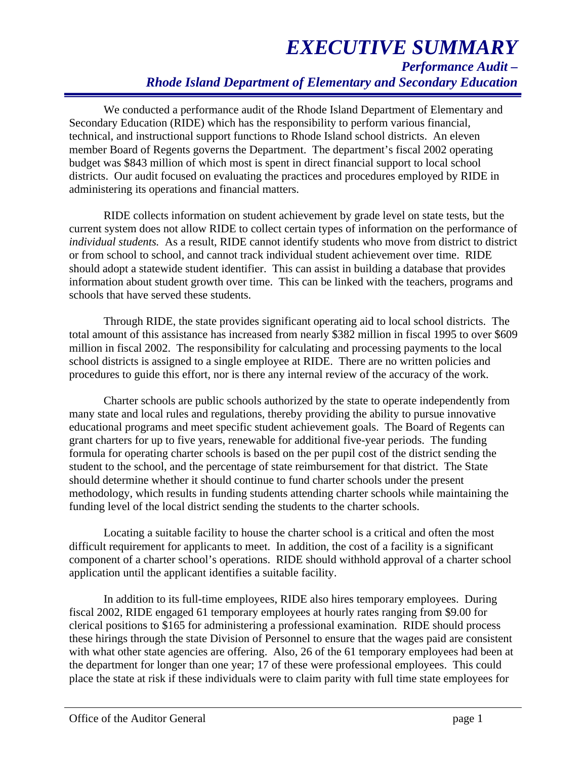We conducted a performance audit of the Rhode Island Department of Elementary and Secondary Education (RIDE) which has the responsibility to perform various financial, technical, and instructional support functions to Rhode Island school districts. An eleven member Board of Regents governs the Department. The department's fiscal 2002 operating budget was \$843 million of which most is spent in direct financial support to local school districts. Our audit focused on evaluating the practices and procedures employed by RIDE in administering its operations and financial matters.

RIDE collects information on student achievement by grade level on state tests, but the current system does not allow RIDE to collect certain types of information on the performance of *individual students.* As a result, RIDE cannot identify students who move from district to district or from school to school, and cannot track individual student achievement over time. RIDE should adopt a statewide student identifier. This can assist in building a database that provides information about student growth over time. This can be linked with the teachers, programs and schools that have served these students.

Through RIDE, the state provides significant operating aid to local school districts. The total amount of this assistance has increased from nearly \$382 million in fiscal 1995 to over \$609 million in fiscal 2002. The responsibility for calculating and processing payments to the local school districts is assigned to a single employee at RIDE. There are no written policies and procedures to guide this effort, nor is there any internal review of the accuracy of the work.

Charter schools are public schools authorized by the state to operate independently from many state and local rules and regulations, thereby providing the ability to pursue innovative educational programs and meet specific student achievement goals. The Board of Regents can grant charters for up to five years, renewable for additional five-year periods. The funding formula for operating charter schools is based on the per pupil cost of the district sending the student to the school, and the percentage of state reimbursement for that district. The State should determine whether it should continue to fund charter schools under the present methodology, which results in funding students attending charter schools while maintaining the funding level of the local district sending the students to the charter schools.

Locating a suitable facility to house the charter school is a critical and often the most difficult requirement for applicants to meet. In addition, the cost of a facility is a significant component of a charter school's operations. RIDE should withhold approval of a charter school application until the applicant identifies a suitable facility.

In addition to its full-time employees, RIDE also hires temporary employees. During fiscal 2002, RIDE engaged 61 temporary employees at hourly rates ranging from \$9.00 for clerical positions to \$165 for administering a professional examination. RIDE should process these hirings through the state Division of Personnel to ensure that the wages paid are consistent with what other state agencies are offering. Also, 26 of the 61 temporary employees had been at the department for longer than one year; 17 of these were professional employees. This could place the state at risk if these individuals were to claim parity with full time state employees for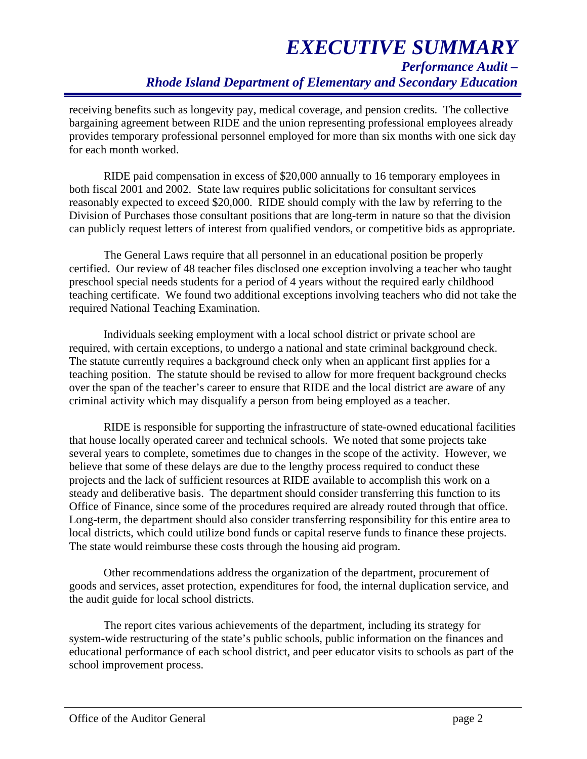receiving benefits such as longevity pay, medical coverage, and pension credits. The collective bargaining agreement between RIDE and the union representing professional employees already provides temporary professional personnel employed for more than six months with one sick day for each month worked.

RIDE paid compensation in excess of \$20,000 annually to 16 temporary employees in both fiscal 2001 and 2002. State law requires public solicitations for consultant services reasonably expected to exceed \$20,000. RIDE should comply with the law by referring to the Division of Purchases those consultant positions that are long-term in nature so that the division can publicly request letters of interest from qualified vendors, or competitive bids as appropriate.

The General Laws require that all personnel in an educational position be properly certified. Our review of 48 teacher files disclosed one exception involving a teacher who taught preschool special needs students for a period of 4 years without the required early childhood teaching certificate. We found two additional exceptions involving teachers who did not take the required National Teaching Examination.

Individuals seeking employment with a local school district or private school are required, with certain exceptions, to undergo a national and state criminal background check. The statute currently requires a background check only when an applicant first applies for a teaching position. The statute should be revised to allow for more frequent background checks over the span of the teacher's career to ensure that RIDE and the local district are aware of any criminal activity which may disqualify a person from being employed as a teacher.

RIDE is responsible for supporting the infrastructure of state-owned educational facilities that house locally operated career and technical schools. We noted that some projects take several years to complete, sometimes due to changes in the scope of the activity. However, we believe that some of these delays are due to the lengthy process required to conduct these projects and the lack of sufficient resources at RIDE available to accomplish this work on a steady and deliberative basis. The department should consider transferring this function to its Office of Finance, since some of the procedures required are already routed through that office. Long-term, the department should also consider transferring responsibility for this entire area to local districts, which could utilize bond funds or capital reserve funds to finance these projects. The state would reimburse these costs through the housing aid program.

Other recommendations address the organization of the department, procurement of goods and services, asset protection, expenditures for food, the internal duplication service, and the audit guide for local school districts.

The report cites various achievements of the department, including its strategy for system-wide restructuring of the state's public schools, public information on the finances and educational performance of each school district, and peer educator visits to schools as part of the school improvement process.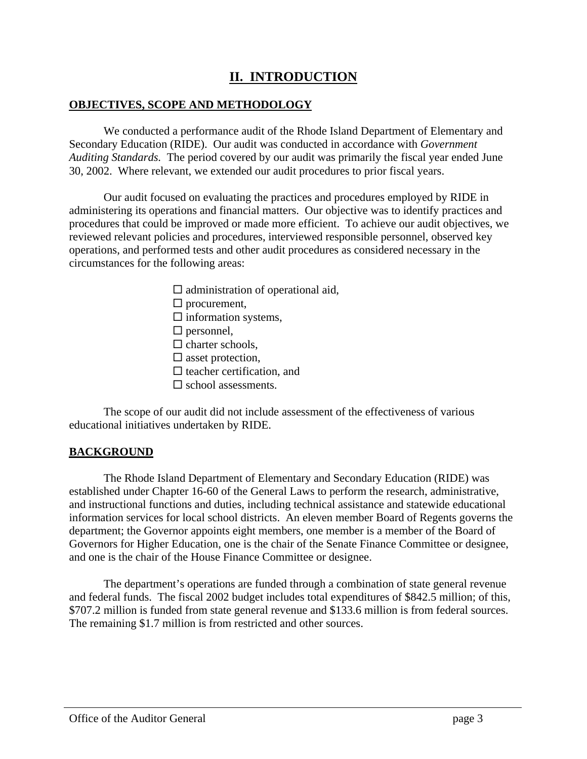# **II. INTRODUCTION**

#### **OBJECTIVES, SCOPE AND METHODOLOGY**

We conducted a performance audit of the Rhode Island Department of Elementary and Secondary Education (RIDE). Our audit was conducted in accordance with *Government Auditing Standards.* The period covered by our audit was primarily the fiscal year ended June 30, 2002. Where relevant, we extended our audit procedures to prior fiscal years.

Our audit focused on evaluating the practices and procedures employed by RIDE in administering its operations and financial matters. Our objective was to identify practices and procedures that could be improved or made more efficient. To achieve our audit objectives, we reviewed relevant policies and procedures, interviewed responsible personnel, observed key operations, and performed tests and other audit procedures as considered necessary in the circumstances for the following areas:

> $\square$  administration of operational aid,  $\square$  procurement,  $\square$  information systems,  $\square$  personnel,  $\square$  charter schools,  $\square$  asset protection,  $\square$  teacher certification, and  $\square$  school assessments.

The scope of our audit did not include assessment of the effectiveness of various educational initiatives undertaken by RIDE.

#### **BACKGROUND**

The Rhode Island Department of Elementary and Secondary Education (RIDE) was established under Chapter 16-60 of the General Laws to perform the research, administrative, and instructional functions and duties, including technical assistance and statewide educational information services for local school districts. An eleven member Board of Regents governs the department; the Governor appoints eight members, one member is a member of the Board of Governors for Higher Education, one is the chair of the Senate Finance Committee or designee, and one is the chair of the House Finance Committee or designee.

The department's operations are funded through a combination of state general revenue and federal funds. The fiscal 2002 budget includes total expenditures of \$842.5 million; of this, \$707.2 million is funded from state general revenue and \$133.6 million is from federal sources. The remaining \$1.7 million is from restricted and other sources.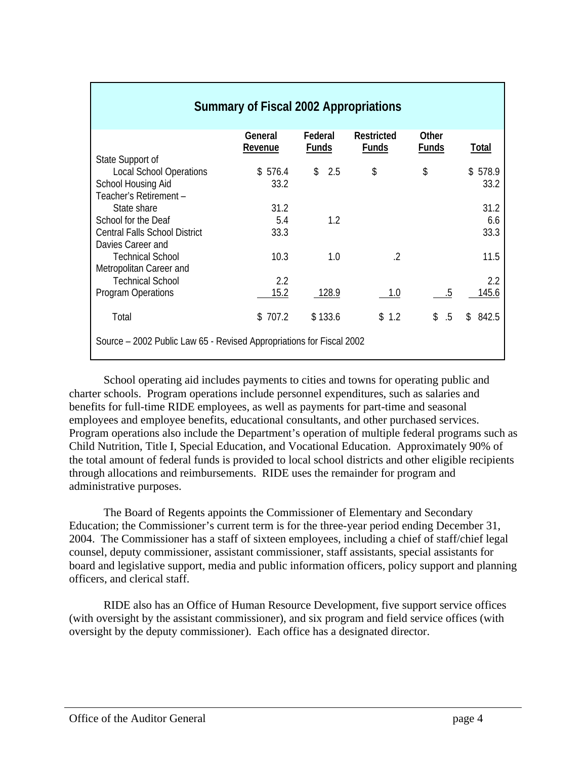| <b>Summary of Fiscal 2002 Appropriations</b>                         |                    |                         |                                   |                       |                         |
|----------------------------------------------------------------------|--------------------|-------------------------|-----------------------------------|-----------------------|-------------------------|
|                                                                      | General<br>Revenue | Federal<br><b>Funds</b> | <b>Restricted</b><br><b>Funds</b> | Other<br><b>Funds</b> | <b>Total</b>            |
| State Support of                                                     |                    |                         |                                   |                       |                         |
| <b>Local School Operations</b>                                       | \$576.4            | 2.5<br>\$               | \$                                | \$                    | \$578.9                 |
| School Housing Aid                                                   | 33.2               |                         |                                   |                       | 33.2                    |
| Teacher's Retirement -                                               |                    |                         |                                   |                       |                         |
| State share                                                          | 31.2               |                         |                                   |                       | 31.2                    |
| School for the Deaf                                                  | 5.4                | 1.2                     |                                   |                       | 6.6                     |
| <b>Central Falls School District</b>                                 | 33.3               |                         |                                   |                       | 33.3                    |
| Davies Career and                                                    |                    |                         |                                   |                       |                         |
| <b>Technical School</b>                                              | 10.3               | 1.0                     | .2                                |                       | 11.5                    |
| Metropolitan Career and                                              |                    |                         |                                   |                       |                         |
| <b>Technical School</b>                                              | 2.2                |                         |                                   |                       | $2.2\phantom{0}$        |
| <b>Program Operations</b>                                            | 15.2               | 128.9                   | 1.0                               | .5                    | 145.6                   |
| Total                                                                | \$707.2            | \$133.6                 | \$1.2                             | \$<br>$.5\,$          | 842.5<br>$\mathbb{S}^-$ |
| Source – 2002 Public Law 65 - Revised Appropriations for Fiscal 2002 |                    |                         |                                   |                       |                         |

School operating aid includes payments to cities and towns for operating public and charter schools. Program operations include personnel expenditures, such as salaries and benefits for full-time RIDE employees, as well as payments for part-time and seasonal employees and employee benefits, educational consultants, and other purchased services. Program operations also include the Department's operation of multiple federal programs such as Child Nutrition, Title I, Special Education, and Vocational Education. Approximately 90% of the total amount of federal funds is provided to local school districts and other eligible recipients through allocations and reimbursements. RIDE uses the remainder for program and administrative purposes.

The Board of Regents appoints the Commissioner of Elementary and Secondary Education; the Commissioner's current term is for the three-year period ending December 31, 2004. The Commissioner has a staff of sixteen employees, including a chief of staff/chief legal counsel, deputy commissioner, assistant commissioner, staff assistants, special assistants for board and legislative support, media and public information officers, policy support and planning officers, and clerical staff.

RIDE also has an Office of Human Resource Development, five support service offices (with oversight by the assistant commissioner), and six program and field service offices (with oversight by the deputy commissioner). Each office has a designated director.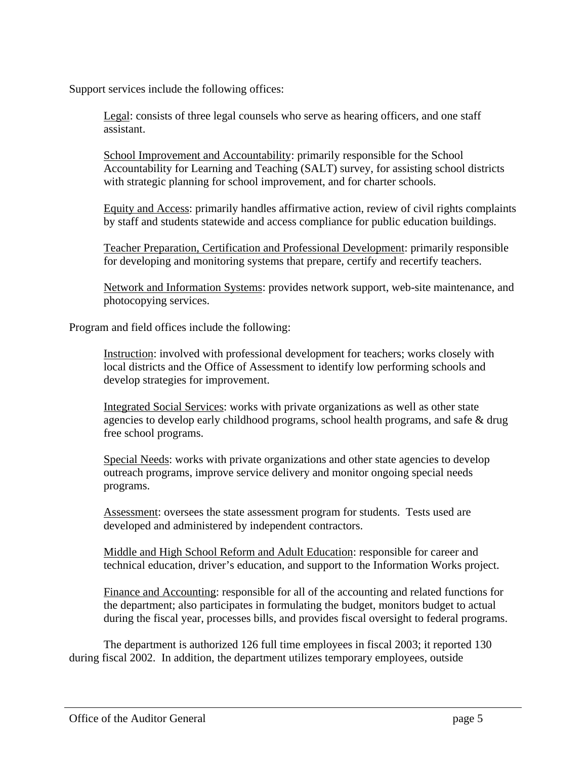Support services include the following offices:

Legal: consists of three legal counsels who serve as hearing officers, and one staff assistant.

School Improvement and Accountability: primarily responsible for the School Accountability for Learning and Teaching (SALT) survey, for assisting school districts with strategic planning for school improvement, and for charter schools.

Equity and Access: primarily handles affirmative action, review of civil rights complaints by staff and students statewide and access compliance for public education buildings.

Teacher Preparation, Certification and Professional Development: primarily responsible for developing and monitoring systems that prepare, certify and recertify teachers.

Network and Information Systems: provides network support, web-site maintenance, and photocopying services.

Program and field offices include the following:

Instruction: involved with professional development for teachers; works closely with local districts and the Office of Assessment to identify low performing schools and develop strategies for improvement.

Integrated Social Services: works with private organizations as well as other state agencies to develop early childhood programs, school health programs, and safe & drug free school programs.

Special Needs: works with private organizations and other state agencies to develop outreach programs, improve service delivery and monitor ongoing special needs programs.

Assessment: oversees the state assessment program for students. Tests used are developed and administered by independent contractors.

Middle and High School Reform and Adult Education: responsible for career and technical education, driver's education, and support to the Information Works project.

Finance and Accounting: responsible for all of the accounting and related functions for the department; also participates in formulating the budget, monitors budget to actual during the fiscal year, processes bills, and provides fiscal oversight to federal programs.

The department is authorized 126 full time employees in fiscal 2003; it reported 130 during fiscal 2002. In addition, the department utilizes temporary employees, outside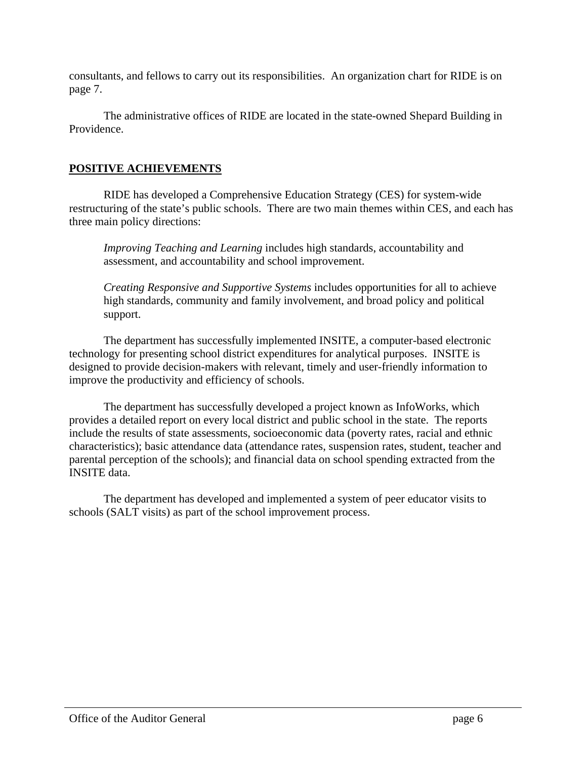consultants, and fellows to carry out its responsibilities. An organization chart for RIDE is on page 7.

The administrative offices of RIDE are located in the state-owned Shepard Building in Providence.

# **POSITIVE ACHIEVEMENTS**

RIDE has developed a Comprehensive Education Strategy (CES) for system-wide restructuring of the state's public schools. There are two main themes within CES, and each has three main policy directions:

*Improving Teaching and Learning* includes high standards, accountability and assessment, and accountability and school improvement.

*Creating Responsive and Supportive Systems* includes opportunities for all to achieve high standards, community and family involvement, and broad policy and political support.

The department has successfully implemented INSITE, a computer-based electronic technology for presenting school district expenditures for analytical purposes. INSITE is designed to provide decision-makers with relevant, timely and user-friendly information to improve the productivity and efficiency of schools.

The department has successfully developed a project known as InfoWorks, which provides a detailed report on every local district and public school in the state. The reports include the results of state assessments, socioeconomic data (poverty rates, racial and ethnic characteristics); basic attendance data (attendance rates, suspension rates, student, teacher and parental perception of the schools); and financial data on school spending extracted from the INSITE data.

The department has developed and implemented a system of peer educator visits to schools (SALT visits) as part of the school improvement process.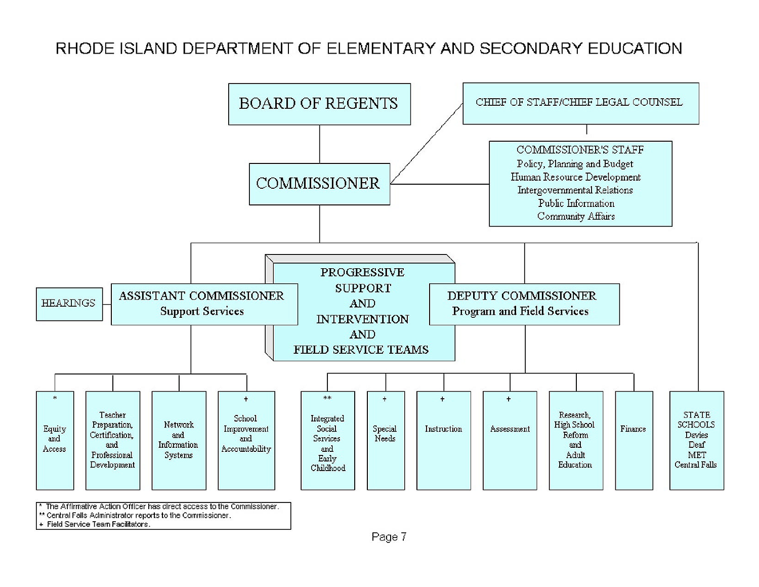# RHODE ISLAND DEPARTMENT OF ELEMENTARY AND SECONDARY EDUCATION



\*\* Central Falls Administrator reports to the Commissioner.

+ Field Service Team Facilitators.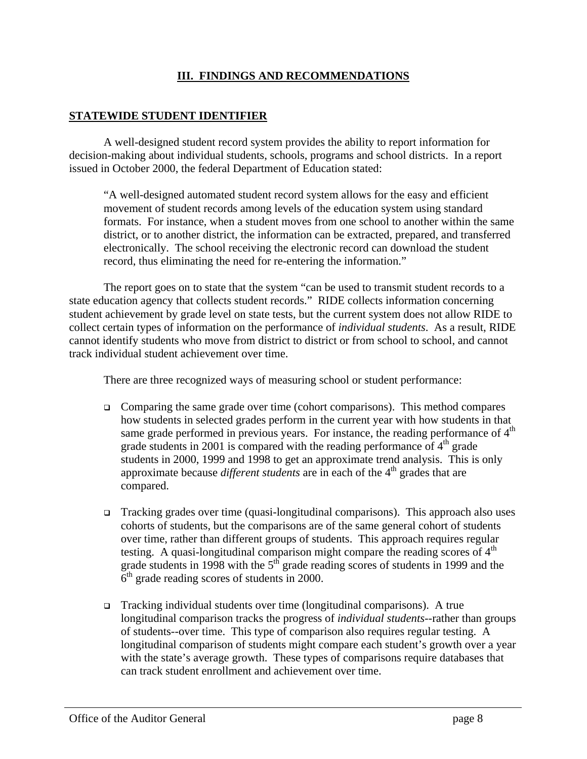### **III. FINDINGS AND RECOMMENDATIONS**

#### **STATEWIDE STUDENT IDENTIFIER**

A well-designed student record system provides the ability to report information for decision-making about individual students, schools, programs and school districts. In a report issued in October 2000, the federal Department of Education stated:

"A well-designed automated student record system allows for the easy and efficient movement of student records among levels of the education system using standard formats. For instance, when a student moves from one school to another within the same district, or to another district, the information can be extracted, prepared, and transferred electronically. The school receiving the electronic record can download the student record, thus eliminating the need for re-entering the information."

The report goes on to state that the system "can be used to transmit student records to a state education agency that collects student records." RIDE collects information concerning student achievement by grade level on state tests, but the current system does not allow RIDE to collect certain types of information on the performance of *individual students*. As a result, RIDE cannot identify students who move from district to district or from school to school, and cannot track individual student achievement over time.

There are three recognized ways of measuring school or student performance:

- $\Box$  Comparing the same grade over time (cohort comparisons). This method compares how students in selected grades perform in the current year with how students in that same grade performed in previous years. For instance, the reading performance of  $4<sup>th</sup>$ grade students in 2001 is compared with the reading performance of  $4<sup>th</sup>$  grade students in 2000, 1999 and 1998 to get an approximate trend analysis. This is only approximate because *different students* are in each of the 4<sup>th</sup> grades that are compared.
- $\Box$  Tracking grades over time (quasi-longitudinal comparisons). This approach also uses cohorts of students, but the comparisons are of the same general cohort of students over time, rather than different groups of students. This approach requires regular testing. A quasi-longitudinal comparison might compare the reading scores of  $4<sup>th</sup>$ grade students in 1998 with the  $5<sup>th</sup>$  grade reading scores of students in 1999 and the  $6<sup>th</sup>$  grade reading scores of students in 2000.
- <sup>q</sup> Tracking individual students over time (longitudinal comparisons). A true longitudinal comparison tracks the progress of *individual students*--rather than groups of students--over time. This type of comparison also requires regular testing. A longitudinal comparison of students might compare each student's growth over a year with the state's average growth. These types of comparisons require databases that can track student enrollment and achievement over time.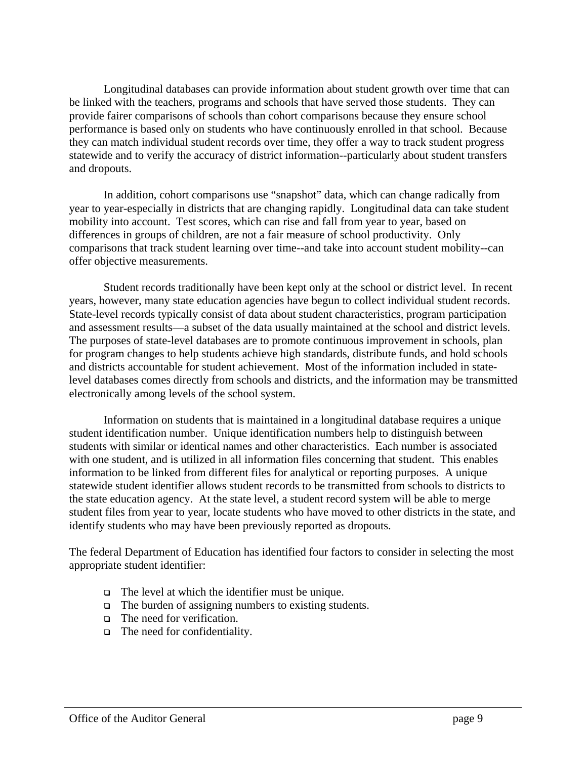Longitudinal databases can provide information about student growth over time that can be linked with the teachers, programs and schools that have served those students. They can provide fairer comparisons of schools than cohort comparisons because they ensure school performance is based only on students who have continuously enrolled in that school. Because they can match individual student records over time, they offer a way to track student progress statewide and to verify the accuracy of district information--particularly about student transfers and dropouts.

In addition, cohort comparisons use "snapshot" data, which can change radically from year to year-especially in districts that are changing rapidly. Longitudinal data can take student mobility into account. Test scores, which can rise and fall from year to year, based on differences in groups of children, are not a fair measure of school productivity. Only comparisons that track student learning over time--and take into account student mobility--can offer objective measurements.

Student records traditionally have been kept only at the school or district level. In recent years, however, many state education agencies have begun to collect individual student records. State-level records typically consist of data about student characteristics, program participation and assessment results—a subset of the data usually maintained at the school and district levels. The purposes of state-level databases are to promote continuous improvement in schools, plan for program changes to help students achieve high standards, distribute funds, and hold schools and districts accountable for student achievement. Most of the information included in statelevel databases comes directly from schools and districts, and the information may be transmitted electronically among levels of the school system.

Information on students that is maintained in a longitudinal database requires a unique student identification number. Unique identification numbers help to distinguish between students with similar or identical names and other characteristics. Each number is associated with one student, and is utilized in all information files concerning that student. This enables information to be linked from different files for analytical or reporting purposes. A unique statewide student identifier allows student records to be transmitted from schools to districts to the state education agency. At the state level, a student record system will be able to merge student files from year to year, locate students who have moved to other districts in the state, and identify students who may have been previously reported as dropouts.

The federal Department of Education has identified four factors to consider in selecting the most appropriate student identifier:

- $\Box$  The level at which the identifier must be unique.
- $\Box$  The burden of assigning numbers to existing students.
- □ The need for verification.
- $\Box$  The need for confidentiality.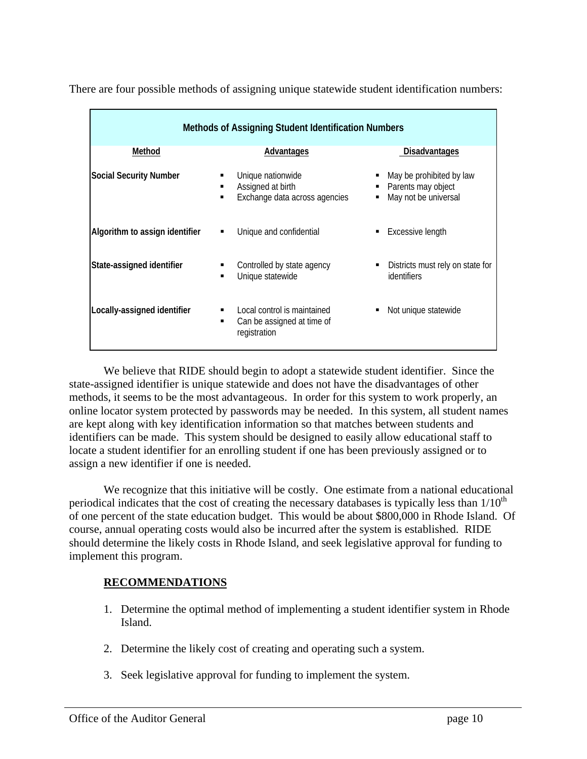| <b>Methods of Assigning Student Identification Numbers</b> |                                                                                |                                                                             |  |
|------------------------------------------------------------|--------------------------------------------------------------------------------|-----------------------------------------------------------------------------|--|
| Method                                                     | <u>Advantages</u>                                                              | <b>Disadvantages</b>                                                        |  |
| <b>Social Security Number</b>                              | Unique nationwide<br>Assigned at birth<br>Exchange data across agencies        | May be prohibited by law<br>Parents may object<br>May not be universal<br>٠ |  |
| Algorithm to assign identifier                             | Unique and confidential<br>٠                                                   | Excessive length                                                            |  |
| State-assigned identifier                                  | Controlled by state agency<br>Unique statewide                                 | Districts must rely on state for<br>identifiers                             |  |
| Locally-assigned identifier                                | Local control is maintained<br>Can be assigned at time of<br>٠<br>registration | Not unique statewide                                                        |  |

There are four possible methods of assigning unique statewide student identification numbers:

We believe that RIDE should begin to adopt a statewide student identifier. Since the state-assigned identifier is unique statewide and does not have the disadvantages of other methods, it seems to be the most advantageous. In order for this system to work properly, an online locator system protected by passwords may be needed. In this system, all student names are kept along with key identification information so that matches between students and identifiers can be made. This system should be designed to easily allow educational staff to locate a student identifier for an enrolling student if one has been previously assigned or to assign a new identifier if one is needed.

We recognize that this initiative will be costly. One estimate from a national educational periodical indicates that the cost of creating the necessary databases is typically less than  $1/10^{th}$ of one percent of the state education budget. This would be about \$800,000 in Rhode Island. Of course, annual operating costs would also be incurred after the system is established. RIDE should determine the likely costs in Rhode Island, and seek legislative approval for funding to implement this program.

# **RECOMMENDATIONS**

- 1. Determine the optimal method of implementing a student identifier system in Rhode Island.
- 2. Determine the likely cost of creating and operating such a system.
- 3. Seek legislative approval for funding to implement the system.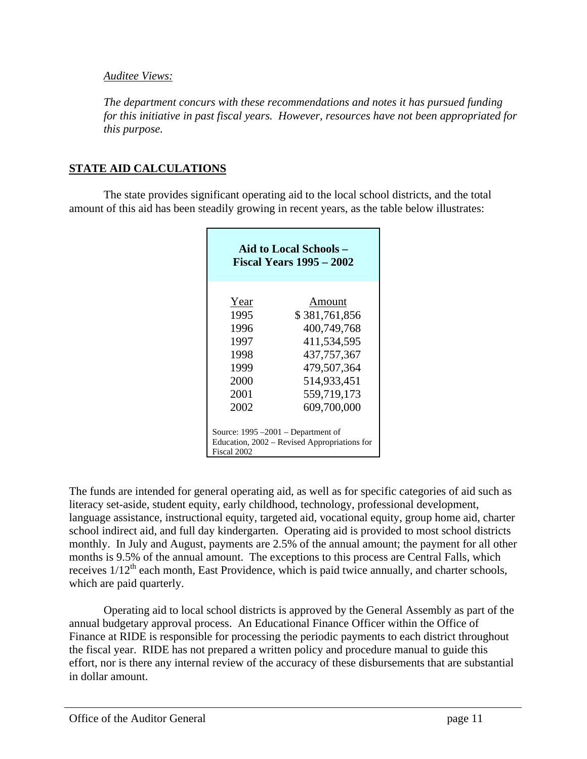#### *Auditee Views:*

*The department concurs with these recommendations and notes it has pursued funding for this initiative in past fiscal years. However, resources have not been appropriated for this purpose.*

# **STATE AID CALCULATIONS**

The state provides significant operating aid to the local school districts, and the total amount of this aid has been steadily growing in recent years, as the table below illustrates:

| Aid to Local Schools -<br><b>Fiscal Years 1995 – 2002</b>                                            |                                                                                                                                    |  |  |
|------------------------------------------------------------------------------------------------------|------------------------------------------------------------------------------------------------------------------------------------|--|--|
| Year<br>1995<br>1996<br>1997<br>1998<br>1999<br>2000<br>2001<br>2002                                 | Amount<br>\$381,761,856<br>400,749,768<br>411,534,595<br>437, 757, 367<br>479,507,364<br>514,933,451<br>559,719,173<br>609,700,000 |  |  |
| Source: $1995 - 2001$ – Department of<br>Education, 2002 – Revised Appropriations for<br>Fiscal 2002 |                                                                                                                                    |  |  |

The funds are intended for general operating aid, as well as for specific categories of aid such as literacy set-aside, student equity, early childhood, technology, professional development, language assistance, instructional equity, targeted aid, vocational equity, group home aid, charter school indirect aid, and full day kindergarten. Operating aid is provided to most school districts monthly. In July and August, payments are 2.5% of the annual amount; the payment for all other months is 9.5% of the annual amount. The exceptions to this process are Central Falls, which receives 1/12<sup>th</sup> each month, East Providence, which is paid twice annually, and charter schools, which are paid quarterly.

Operating aid to local school districts is approved by the General Assembly as part of the annual budgetary approval process. An Educational Finance Officer within the Office of Finance at RIDE is responsible for processing the periodic payments to each district throughout the fiscal year. RIDE has not prepared a written policy and procedure manual to guide this effort, nor is there any internal review of the accuracy of these disbursements that are substantial in dollar amount.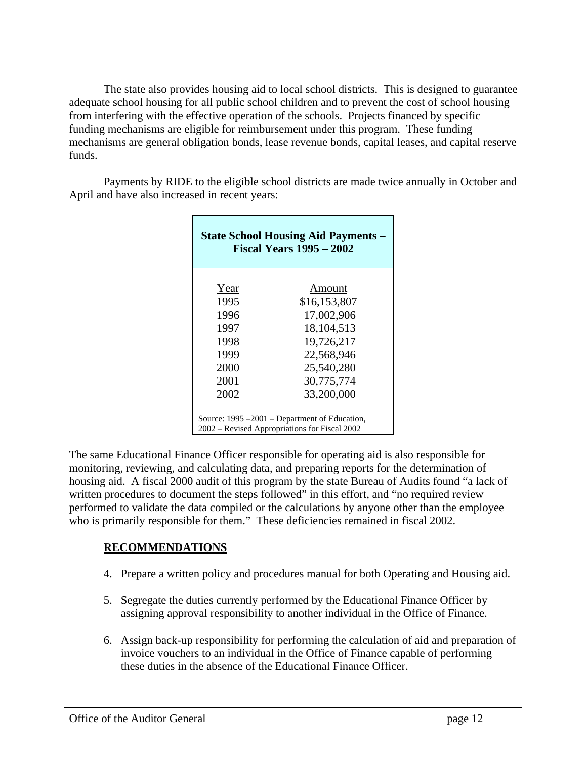The state also provides housing aid to local school districts. This is designed to guarantee adequate school housing for all public school children and to prevent the cost of school housing from interfering with the effective operation of the schools. Projects financed by specific funding mechanisms are eligible for reimbursement under this program. These funding mechanisms are general obligation bonds, lease revenue bonds, capital leases, and capital reserve funds.

Payments by RIDE to the eligible school districts are made twice annually in October and April and have also increased in recent years:

| <b>State School Housing Aid Payments –</b><br><b>Fiscal Years 1995 - 2002</b>                  |              |  |
|------------------------------------------------------------------------------------------------|--------------|--|
| Year                                                                                           | Amount       |  |
| 1995                                                                                           | \$16,153,807 |  |
| 1996                                                                                           | 17,002,906   |  |
| 1997                                                                                           | 18, 104, 513 |  |
| 1998                                                                                           | 19,726,217   |  |
| 1999                                                                                           | 22,568,946   |  |
| 2000                                                                                           | 25,540,280   |  |
| 2001                                                                                           | 30,775,774   |  |
| 2002                                                                                           | 33,200,000   |  |
| Source: 1995 –2001 – Department of Education,<br>2002 – Revised Appropriations for Fiscal 2002 |              |  |

The same Educational Finance Officer responsible for operating aid is also responsible for monitoring, reviewing, and calculating data, and preparing reports for the determination of housing aid. A fiscal 2000 audit of this program by the state Bureau of Audits found "a lack of written procedures to document the steps followed" in this effort, and "no required review performed to validate the data compiled or the calculations by anyone other than the employee who is primarily responsible for them." These deficiencies remained in fiscal 2002.

# **RECOMMENDATIONS**

- 4. Prepare a written policy and procedures manual for both Operating and Housing aid.
- 5. Segregate the duties currently performed by the Educational Finance Officer by assigning approval responsibility to another individual in the Office of Finance.
- 6. Assign back-up responsibility for performing the calculation of aid and preparation of invoice vouchers to an individual in the Office of Finance capable of performing these duties in the absence of the Educational Finance Officer.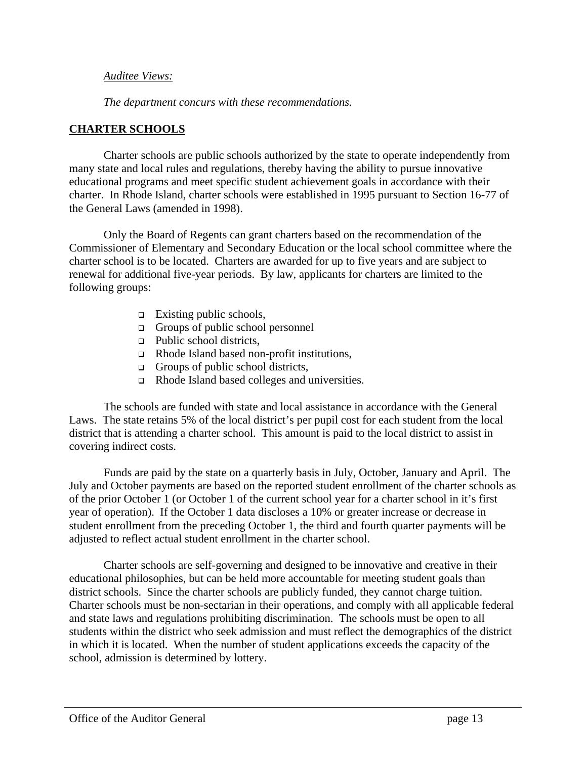#### *Auditee Views:*

*The department concurs with these recommendations.*

### **CHARTER SCHOOLS**

Charter schools are public schools authorized by the state to operate independently from many state and local rules and regulations, thereby having the ability to pursue innovative educational programs and meet specific student achievement goals in accordance with their charter. In Rhode Island, charter schools were established in 1995 pursuant to Section 16-77 of the General Laws (amended in 1998).

Only the Board of Regents can grant charters based on the recommendation of the Commissioner of Elementary and Secondary Education or the local school committee where the charter school is to be located. Charters are awarded for up to five years and are subject to renewal for additional five-year periods. By law, applicants for charters are limited to the following groups:

- $\Box$  Existing public schools,
- $\Box$  Groups of public school personnel
- <sup>q</sup> Public school districts,
- $\Box$  Rhode Island based non-profit institutions,
- $\Box$  Groups of public school districts,
- □ Rhode Island based colleges and universities.

The schools are funded with state and local assistance in accordance with the General Laws. The state retains 5% of the local district's per pupil cost for each student from the local district that is attending a charter school. This amount is paid to the local district to assist in covering indirect costs.

Funds are paid by the state on a quarterly basis in July, October, January and April. The July and October payments are based on the reported student enrollment of the charter schools as of the prior October 1 (or October 1 of the current school year for a charter school in it's first year of operation). If the October 1 data discloses a 10% or greater increase or decrease in student enrollment from the preceding October 1, the third and fourth quarter payments will be adjusted to reflect actual student enrollment in the charter school.

Charter schools are self-governing and designed to be innovative and creative in their educational philosophies, but can be held more accountable for meeting student goals than district schools. Since the charter schools are publicly funded, they cannot charge tuition. Charter schools must be non-sectarian in their operations, and comply with all applicable federal and state laws and regulations prohibiting discrimination. The schools must be open to all students within the district who seek admission and must reflect the demographics of the district in which it is located. When the number of student applications exceeds the capacity of the school, admission is determined by lottery.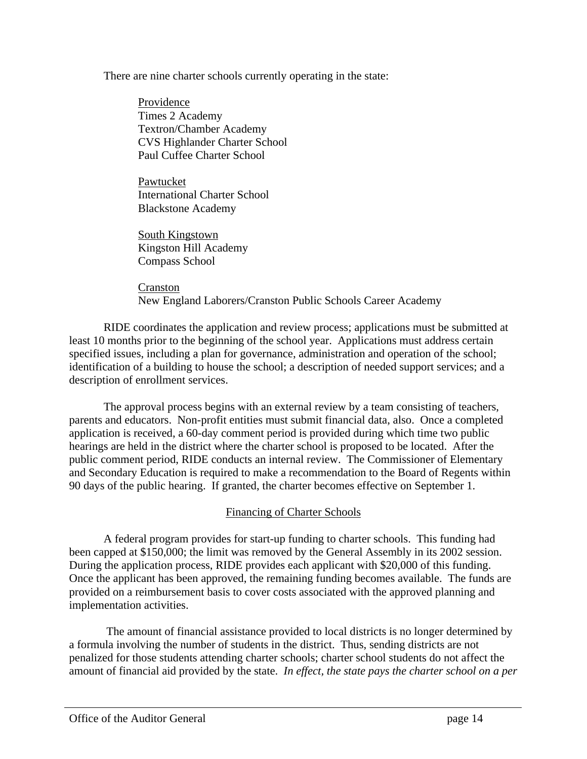There are nine charter schools currently operating in the state:

Providence Times 2 Academy Textron/Chamber Academy CVS Highlander Charter School Paul Cuffee Charter School

Pawtucket International Charter School Blackstone Academy

South Kingstown Kingston Hill Academy Compass School

Cranston New England Laborers/Cranston Public Schools Career Academy

RIDE coordinates the application and review process; applications must be submitted at least 10 months prior to the beginning of the school year. Applications must address certain specified issues, including a plan for governance, administration and operation of the school; identification of a building to house the school; a description of needed support services; and a description of enrollment services.

The approval process begins with an external review by a team consisting of teachers, parents and educators. Non-profit entities must submit financial data, also. Once a completed application is received, a 60-day comment period is provided during which time two public hearings are held in the district where the charter school is proposed to be located. After the public comment period, RIDE conducts an internal review. The Commissioner of Elementary and Secondary Education is required to make a recommendation to the Board of Regents within 90 days of the public hearing. If granted, the charter becomes effective on September 1.

# Financing of Charter Schools

A federal program provides for start-up funding to charter schools. This funding had been capped at \$150,000; the limit was removed by the General Assembly in its 2002 session. During the application process, RIDE provides each applicant with \$20,000 of this funding. Once the applicant has been approved, the remaining funding becomes available. The funds are provided on a reimbursement basis to cover costs associated with the approved planning and implementation activities.

 The amount of financial assistance provided to local districts is no longer determined by a formula involving the number of students in the district. Thus, sending districts are not penalized for those students attending charter schools; charter school students do not affect the amount of financial aid provided by the state. *In effect, the state pays the charter school on a per*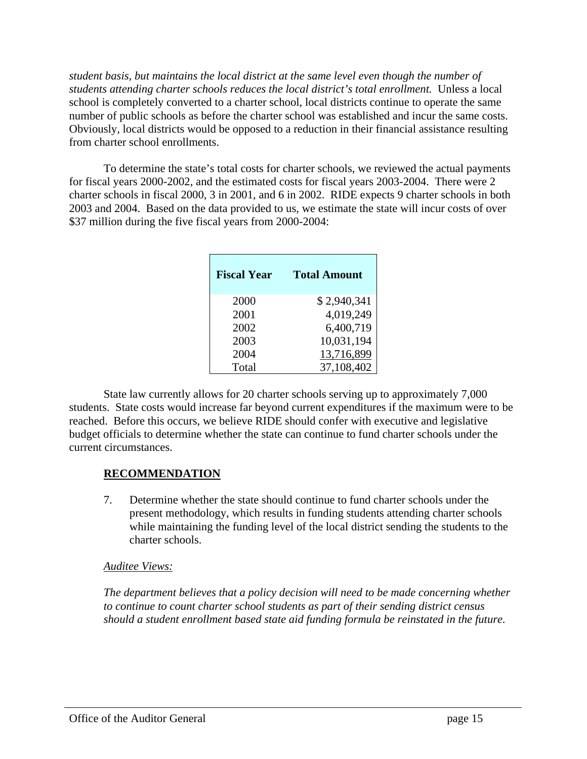*student basis, but maintains the local district at the same level even though the number of students attending charter schools reduces the local district's total enrollment.* Unless a local school is completely converted to a charter school, local districts continue to operate the same number of public schools as before the charter school was established and incur the same costs. Obviously, local districts would be opposed to a reduction in their financial assistance resulting from charter school enrollments.

To determine the state's total costs for charter schools, we reviewed the actual payments for fiscal years 2000-2002, and the estimated costs for fiscal years 2003-2004. There were 2 charter schools in fiscal 2000, 3 in 2001, and 6 in 2002. RIDE expects 9 charter schools in both 2003 and 2004. Based on the data provided to us, we estimate the state will incur costs of over \$37 million during the five fiscal years from 2000-2004:

| <b>Fiscal Year</b> | <b>Total Amount</b> |
|--------------------|---------------------|
| 2000               | \$2,940,341         |
| 2001               | 4,019,249           |
| 2002               | 6,400,719           |
| 2003               | 10,031,194          |
| 2004               | 13,716,899          |
| Total              | 37,108,402          |

State law currently allows for 20 charter schools serving up to approximately 7,000 students. State costs would increase far beyond current expenditures if the maximum were to be reached. Before this occurs, we believe RIDE should confer with executive and legislative budget officials to determine whether the state can continue to fund charter schools under the current circumstances.

#### **RECOMMENDATION**

7. Determine whether the state should continue to fund charter schools under the present methodology, which results in funding students attending charter schools while maintaining the funding level of the local district sending the students to the charter schools.

#### *Auditee Views:*

*The department believes that a policy decision will need to be made concerning whether to continue to count charter school students as part of their sending district census should a student enrollment based state aid funding formula be reinstated in the future.*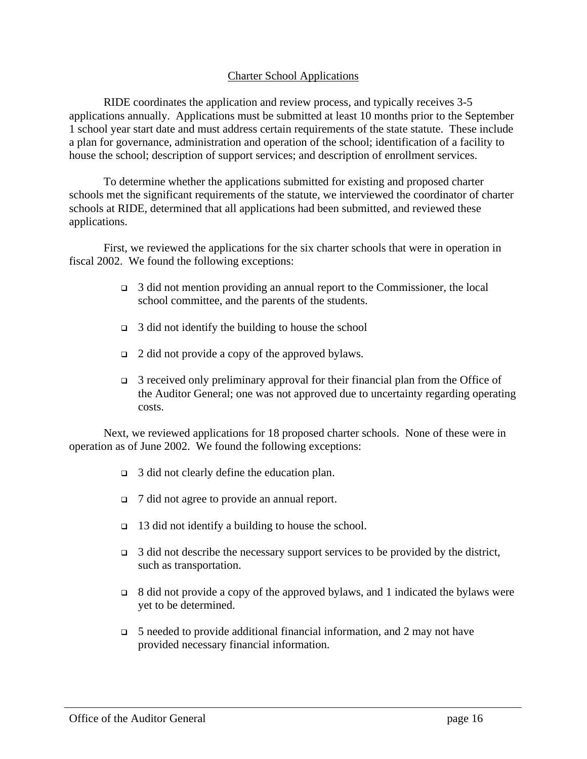#### Charter School Applications

RIDE coordinates the application and review process, and typically receives 3-5 applications annually. Applications must be submitted at least 10 months prior to the September 1 school year start date and must address certain requirements of the state statute. These include a plan for governance, administration and operation of the school; identification of a facility to house the school; description of support services; and description of enrollment services.

To determine whether the applications submitted for existing and proposed charter schools met the significant requirements of the statute, we interviewed the coordinator of charter schools at RIDE, determined that all applications had been submitted, and reviewed these applications.

First, we reviewed the applications for the six charter schools that were in operation in fiscal 2002. We found the following exceptions:

- $\Box$  3 did not mention providing an annual report to the Commissioner, the local school committee, and the parents of the students.
- $\Box$  3 did not identify the building to house the school
- $\Box$  2 did not provide a copy of the approved bylaws.
- $\Box$  3 received only preliminary approval for their financial plan from the Office of the Auditor General; one was not approved due to uncertainty regarding operating costs.

Next, we reviewed applications for 18 proposed charter schools. None of these were in operation as of June 2002. We found the following exceptions:

- $\Box$  3 did not clearly define the education plan.
- <sup>q</sup> 7 did not agree to provide an annual report.
- <sup>q</sup> 13 did not identify a building to house the school.
- $\Box$  3 did not describe the necessary support services to be provided by the district, such as transportation.
- $\Box$  8 did not provide a copy of the approved bylaws, and 1 indicated the bylaws were yet to be determined.
- $\Box$  5 needed to provide additional financial information, and 2 may not have provided necessary financial information.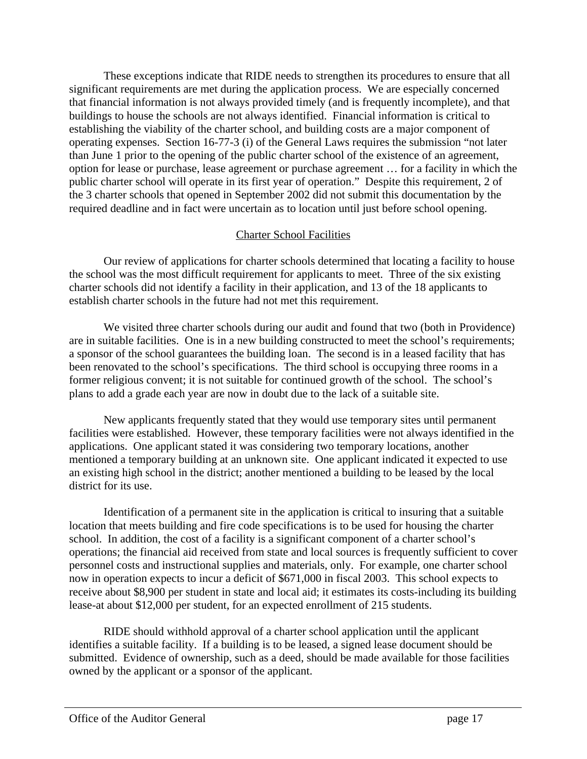These exceptions indicate that RIDE needs to strengthen its procedures to ensure that all significant requirements are met during the application process. We are especially concerned that financial information is not always provided timely (and is frequently incomplete), and that buildings to house the schools are not always identified. Financial information is critical to establishing the viability of the charter school, and building costs are a major component of operating expenses. Section 16-77-3 (i) of the General Laws requires the submission "not later than June 1 prior to the opening of the public charter school of the existence of an agreement, option for lease or purchase, lease agreement or purchase agreement … for a facility in which the public charter school will operate in its first year of operation." Despite this requirement, 2 of the 3 charter schools that opened in September 2002 did not submit this documentation by the required deadline and in fact were uncertain as to location until just before school opening.

#### Charter School Facilities

Our review of applications for charter schools determined that locating a facility to house the school was the most difficult requirement for applicants to meet. Three of the six existing charter schools did not identify a facility in their application, and 13 of the 18 applicants to establish charter schools in the future had not met this requirement.

We visited three charter schools during our audit and found that two (both in Providence) are in suitable facilities. One is in a new building constructed to meet the school's requirements; a sponsor of the school guarantees the building loan. The second is in a leased facility that has been renovated to the school's specifications. The third school is occupying three rooms in a former religious convent; it is not suitable for continued growth of the school. The school's plans to add a grade each year are now in doubt due to the lack of a suitable site.

New applicants frequently stated that they would use temporary sites until permanent facilities were established. However, these temporary facilities were not always identified in the applications. One applicant stated it was considering two temporary locations, another mentioned a temporary building at an unknown site. One applicant indicated it expected to use an existing high school in the district; another mentioned a building to be leased by the local district for its use.

Identification of a permanent site in the application is critical to insuring that a suitable location that meets building and fire code specifications is to be used for housing the charter school. In addition, the cost of a facility is a significant component of a charter school's operations; the financial aid received from state and local sources is frequently sufficient to cover personnel costs and instructional supplies and materials, only. For example, one charter school now in operation expects to incur a deficit of \$671,000 in fiscal 2003. This school expects to receive about \$8,900 per student in state and local aid; it estimates its costs-including its building lease-at about \$12,000 per student, for an expected enrollment of 215 students.

RIDE should withhold approval of a charter school application until the applicant identifies a suitable facility. If a building is to be leased, a signed lease document should be submitted. Evidence of ownership, such as a deed, should be made available for those facilities owned by the applicant or a sponsor of the applicant.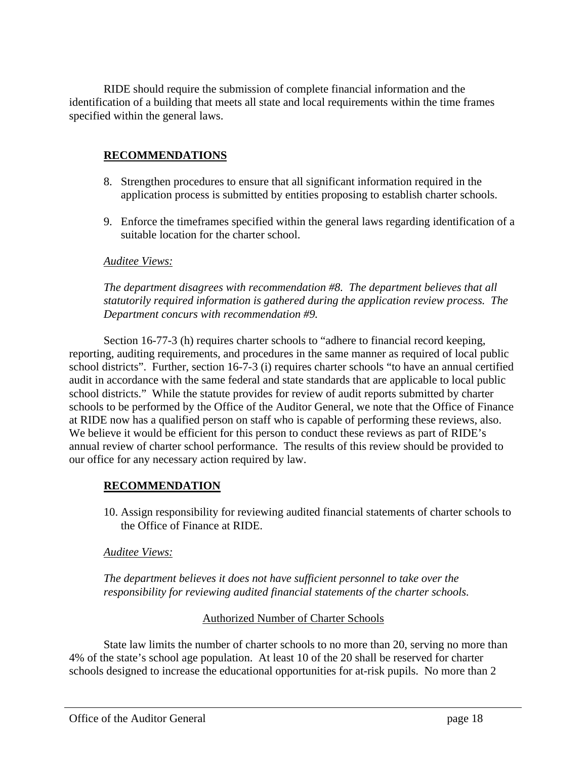RIDE should require the submission of complete financial information and the identification of a building that meets all state and local requirements within the time frames specified within the general laws.

#### **RECOMMENDATIONS**

- 8. Strengthen procedures to ensure that all significant information required in the application process is submitted by entities proposing to establish charter schools.
- 9. Enforce the timeframes specified within the general laws regarding identification of a suitable location for the charter school.

#### *Auditee Views:*

*The department disagrees with recommendation #8. The department believes that all statutorily required information is gathered during the application review process. The Department concurs with recommendation #9.*

Section 16-77-3 (h) requires charter schools to "adhere to financial record keeping, reporting, auditing requirements, and procedures in the same manner as required of local public school districts". Further, section 16-7-3 (i) requires charter schools "to have an annual certified audit in accordance with the same federal and state standards that are applicable to local public school districts." While the statute provides for review of audit reports submitted by charter schools to be performed by the Office of the Auditor General, we note that the Office of Finance at RIDE now has a qualified person on staff who is capable of performing these reviews, also. We believe it would be efficient for this person to conduct these reviews as part of RIDE's annual review of charter school performance. The results of this review should be provided to our office for any necessary action required by law.

#### **RECOMMENDATION**

10. Assign responsibility for reviewing audited financial statements of charter schools to the Office of Finance at RIDE.

#### *Auditee Views:*

*The department believes it does not have sufficient personnel to take over the responsibility for reviewing audited financial statements of the charter schools.*

#### Authorized Number of Charter Schools

State law limits the number of charter schools to no more than 20, serving no more than 4% of the state's school age population. At least 10 of the 20 shall be reserved for charter schools designed to increase the educational opportunities for at-risk pupils. No more than 2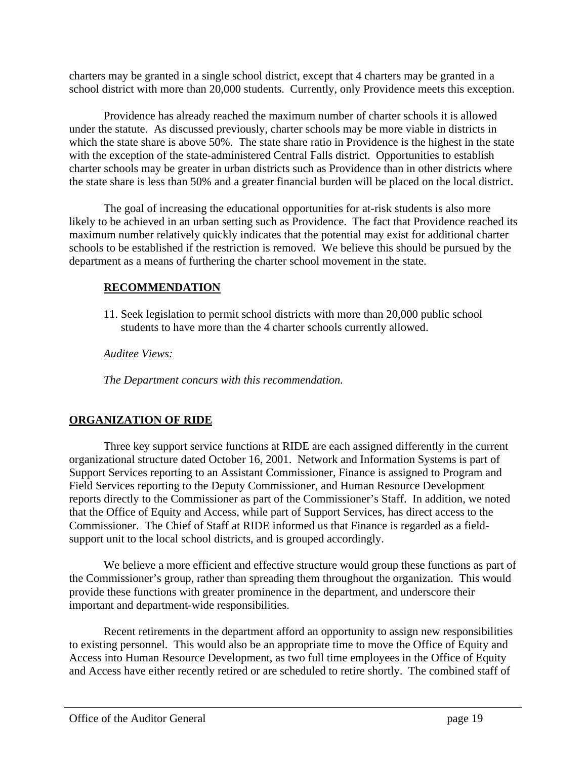charters may be granted in a single school district, except that 4 charters may be granted in a school district with more than 20,000 students. Currently, only Providence meets this exception.

Providence has already reached the maximum number of charter schools it is allowed under the statute. As discussed previously, charter schools may be more viable in districts in which the state share is above  $50\%$ . The state share ratio in Providence is the highest in the state with the exception of the state-administered Central Falls district. Opportunities to establish charter schools may be greater in urban districts such as Providence than in other districts where the state share is less than 50% and a greater financial burden will be placed on the local district.

The goal of increasing the educational opportunities for at-risk students is also more likely to be achieved in an urban setting such as Providence. The fact that Providence reached its maximum number relatively quickly indicates that the potential may exist for additional charter schools to be established if the restriction is removed. We believe this should be pursued by the department as a means of furthering the charter school movement in the state.

# **RECOMMENDATION**

11. Seek legislation to permit school districts with more than 20,000 public school students to have more than the 4 charter schools currently allowed.

*Auditee Views:*

*The Department concurs with this recommendation.*

# **ORGANIZATION OF RIDE**

Three key support service functions at RIDE are each assigned differently in the current organizational structure dated October 16, 2001. Network and Information Systems is part of Support Services reporting to an Assistant Commissioner, Finance is assigned to Program and Field Services reporting to the Deputy Commissioner, and Human Resource Development reports directly to the Commissioner as part of the Commissioner's Staff. In addition, we noted that the Office of Equity and Access, while part of Support Services, has direct access to the Commissioner. The Chief of Staff at RIDE informed us that Finance is regarded as a fieldsupport unit to the local school districts, and is grouped accordingly.

We believe a more efficient and effective structure would group these functions as part of the Commissioner's group, rather than spreading them throughout the organization. This would provide these functions with greater prominence in the department, and underscore their important and department-wide responsibilities.

Recent retirements in the department afford an opportunity to assign new responsibilities to existing personnel. This would also be an appropriate time to move the Office of Equity and Access into Human Resource Development, as two full time employees in the Office of Equity and Access have either recently retired or are scheduled to retire shortly. The combined staff of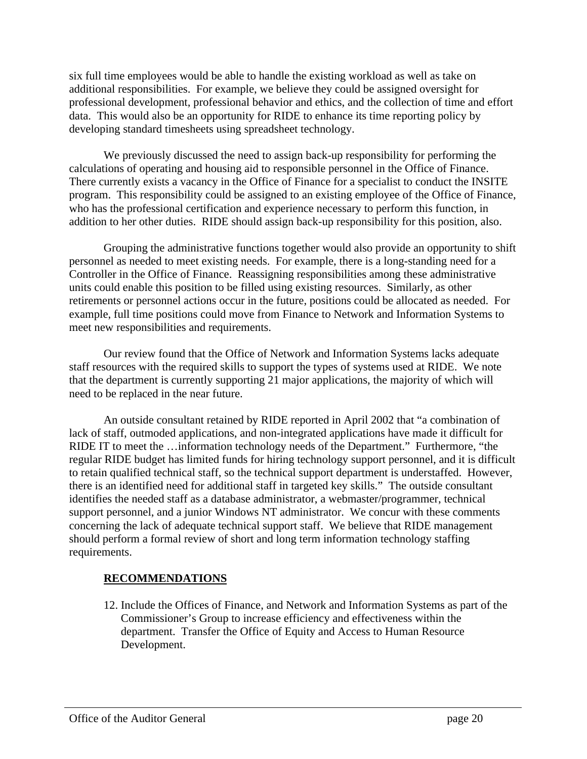six full time employees would be able to handle the existing workload as well as take on additional responsibilities. For example, we believe they could be assigned oversight for professional development, professional behavior and ethics, and the collection of time and effort data. This would also be an opportunity for RIDE to enhance its time reporting policy by developing standard timesheets using spreadsheet technology.

We previously discussed the need to assign back-up responsibility for performing the calculations of operating and housing aid to responsible personnel in the Office of Finance. There currently exists a vacancy in the Office of Finance for a specialist to conduct the INSITE program. This responsibility could be assigned to an existing employee of the Office of Finance, who has the professional certification and experience necessary to perform this function, in addition to her other duties. RIDE should assign back-up responsibility for this position, also.

Grouping the administrative functions together would also provide an opportunity to shift personnel as needed to meet existing needs. For example, there is a long-standing need for a Controller in the Office of Finance. Reassigning responsibilities among these administrative units could enable this position to be filled using existing resources. Similarly, as other retirements or personnel actions occur in the future, positions could be allocated as needed. For example, full time positions could move from Finance to Network and Information Systems to meet new responsibilities and requirements.

Our review found that the Office of Network and Information Systems lacks adequate staff resources with the required skills to support the types of systems used at RIDE. We note that the department is currently supporting 21 major applications, the majority of which will need to be replaced in the near future.

An outside consultant retained by RIDE reported in April 2002 that "a combination of lack of staff, outmoded applications, and non-integrated applications have made it difficult for RIDE IT to meet the …information technology needs of the Department." Furthermore, "the regular RIDE budget has limited funds for hiring technology support personnel, and it is difficult to retain qualified technical staff, so the technical support department is understaffed. However, there is an identified need for additional staff in targeted key skills." The outside consultant identifies the needed staff as a database administrator, a webmaster/programmer, technical support personnel, and a junior Windows NT administrator. We concur with these comments concerning the lack of adequate technical support staff. We believe that RIDE management should perform a formal review of short and long term information technology staffing requirements.

# **RECOMMENDATIONS**

12. Include the Offices of Finance, and Network and Information Systems as part of the Commissioner's Group to increase efficiency and effectiveness within the department. Transfer the Office of Equity and Access to Human Resource Development.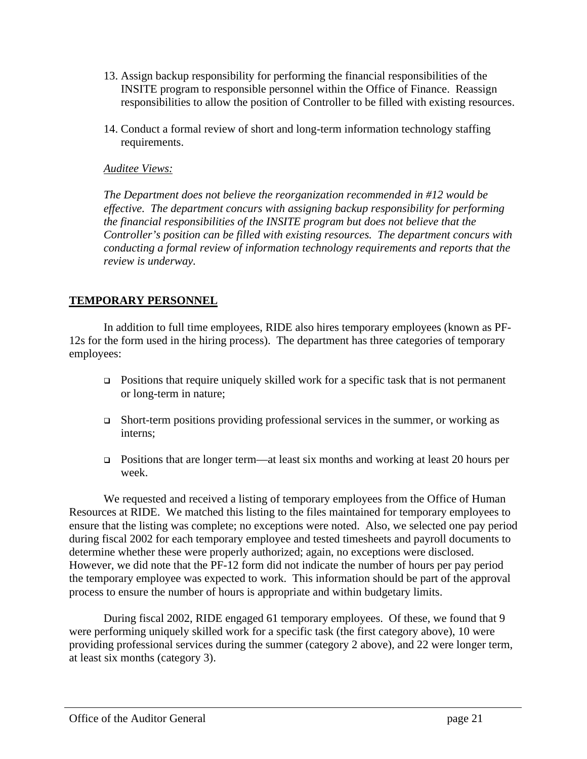- 13. Assign backup responsibility for performing the financial responsibilities of the INSITE program to responsible personnel within the Office of Finance. Reassign responsibilities to allow the position of Controller to be filled with existing resources.
- 14. Conduct a formal review of short and long-term information technology staffing requirements.

#### *Auditee Views:*

*The Department does not believe the reorganization recommended in #12 would be effective. The department concurs with assigning backup responsibility for performing the financial responsibilities of the INSITE program but does not believe that the Controller's position can be filled with existing resources. The department concurs with conducting a formal review of information technology requirements and reports that the review is underway.*

#### **TEMPORARY PERSONNEL**

In addition to full time employees, RIDE also hires temporary employees (known as PF-12s for the form used in the hiring process). The department has three categories of temporary employees:

- $\Box$  Positions that require uniquely skilled work for a specific task that is not permanent or long-term in nature;
- $\Box$  Short-term positions providing professional services in the summer, or working as interns;
- $\Box$  Positions that are longer term—at least six months and working at least 20 hours per week.

We requested and received a listing of temporary employees from the Office of Human Resources at RIDE. We matched this listing to the files maintained for temporary employees to ensure that the listing was complete; no exceptions were noted. Also, we selected one pay period during fiscal 2002 for each temporary employee and tested timesheets and payroll documents to determine whether these were properly authorized; again, no exceptions were disclosed. However, we did note that the PF-12 form did not indicate the number of hours per pay period the temporary employee was expected to work. This information should be part of the approval process to ensure the number of hours is appropriate and within budgetary limits.

During fiscal 2002, RIDE engaged 61 temporary employees. Of these, we found that 9 were performing uniquely skilled work for a specific task (the first category above), 10 were providing professional services during the summer (category 2 above), and 22 were longer term, at least six months (category 3).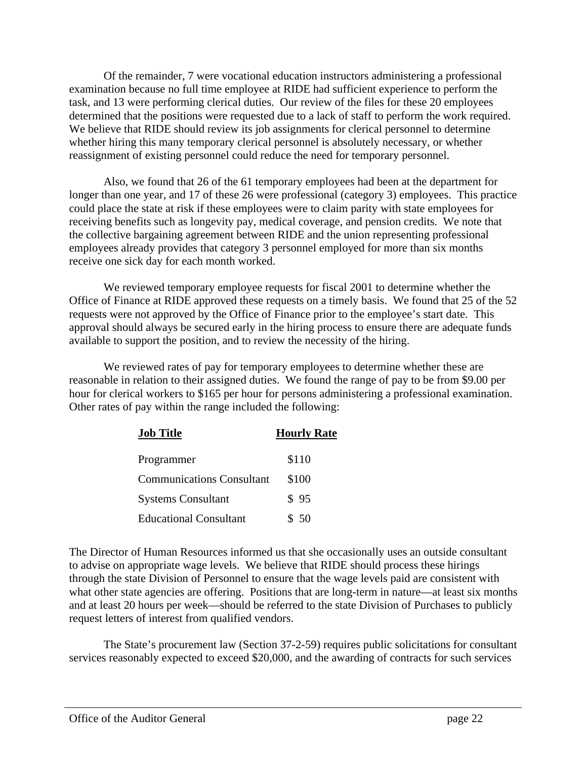Of the remainder, 7 were vocational education instructors administering a professional examination because no full time employee at RIDE had sufficient experience to perform the task, and 13 were performing clerical duties. Our review of the files for these 20 employees determined that the positions were requested due to a lack of staff to perform the work required. We believe that RIDE should review its job assignments for clerical personnel to determine whether hiring this many temporary clerical personnel is absolutely necessary, or whether reassignment of existing personnel could reduce the need for temporary personnel.

Also, we found that 26 of the 61 temporary employees had been at the department for longer than one year, and 17 of these 26 were professional (category 3) employees. This practice could place the state at risk if these employees were to claim parity with state employees for receiving benefits such as longevity pay, medical coverage, and pension credits. We note that the collective bargaining agreement between RIDE and the union representing professional employees already provides that category 3 personnel employed for more than six months receive one sick day for each month worked.

We reviewed temporary employee requests for fiscal 2001 to determine whether the Office of Finance at RIDE approved these requests on a timely basis. We found that 25 of the 52 requests were not approved by the Office of Finance prior to the employee's start date. This approval should always be secured early in the hiring process to ensure there are adequate funds available to support the position, and to review the necessity of the hiring.

We reviewed rates of pay for temporary employees to determine whether these are reasonable in relation to their assigned duties. We found the range of pay to be from \$9.00 per hour for clerical workers to \$165 per hour for persons administering a professional examination. Other rates of pay within the range included the following:

| <b>Job Title</b>                 | <b>Hourly Rate</b> |
|----------------------------------|--------------------|
| Programmer                       | \$110              |
| <b>Communications Consultant</b> | \$100              |
| <b>Systems Consultant</b>        | \$95               |
| <b>Educational Consultant</b>    | \$50               |

The Director of Human Resources informed us that she occasionally uses an outside consultant to advise on appropriate wage levels. We believe that RIDE should process these hirings through the state Division of Personnel to ensure that the wage levels paid are consistent with what other state agencies are offering. Positions that are long-term in nature—at least six months and at least 20 hours per week—should be referred to the state Division of Purchases to publicly request letters of interest from qualified vendors.

The State's procurement law (Section 37-2-59) requires public solicitations for consultant services reasonably expected to exceed \$20,000, and the awarding of contracts for such services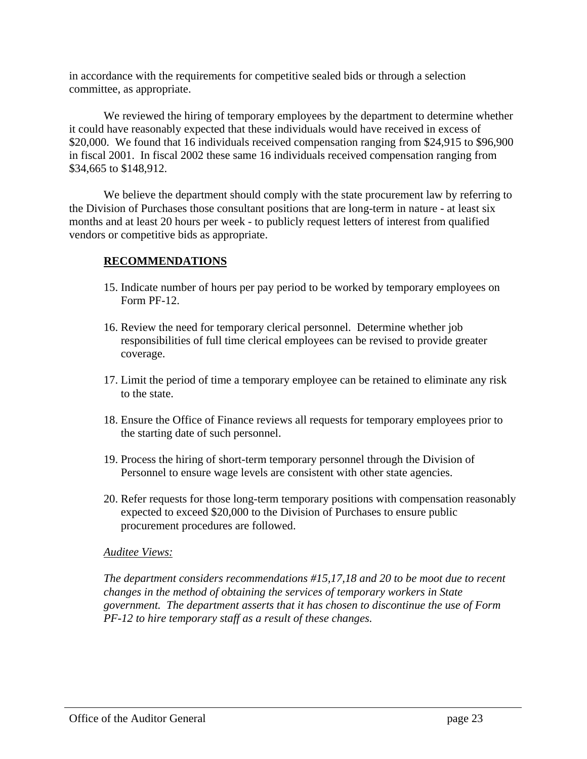in accordance with the requirements for competitive sealed bids or through a selection committee, as appropriate.

We reviewed the hiring of temporary employees by the department to determine whether it could have reasonably expected that these individuals would have received in excess of \$20,000. We found that 16 individuals received compensation ranging from \$24,915 to \$96,900 in fiscal 2001. In fiscal 2002 these same 16 individuals received compensation ranging from \$34,665 to \$148,912.

We believe the department should comply with the state procurement law by referring to the Division of Purchases those consultant positions that are long-term in nature - at least six months and at least 20 hours per week - to publicly request letters of interest from qualified vendors or competitive bids as appropriate.

# **RECOMMENDATIONS**

- 15. Indicate number of hours per pay period to be worked by temporary employees on Form PF-12.
- 16. Review the need for temporary clerical personnel. Determine whether job responsibilities of full time clerical employees can be revised to provide greater coverage.
- 17. Limit the period of time a temporary employee can be retained to eliminate any risk to the state.
- 18. Ensure the Office of Finance reviews all requests for temporary employees prior to the starting date of such personnel.
- 19. Process the hiring of short-term temporary personnel through the Division of Personnel to ensure wage levels are consistent with other state agencies.
- 20. Refer requests for those long-term temporary positions with compensation reasonably expected to exceed \$20,000 to the Division of Purchases to ensure public procurement procedures are followed.

#### *Auditee Views:*

*The department considers recommendations #15,17,18 and 20 to be moot due to recent changes in the method of obtaining the services of temporary workers in State government. The department asserts that it has chosen to discontinue the use of Form PF-12 to hire temporary staff as a result of these changes.*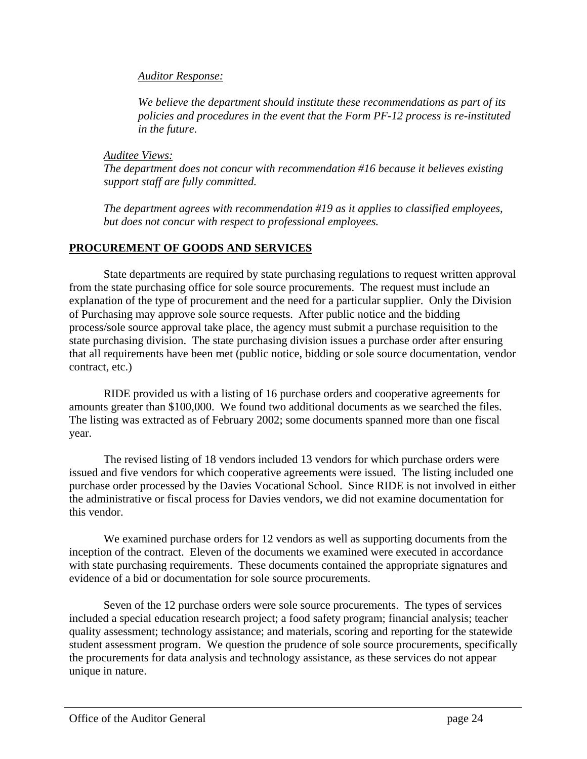#### *Auditor Response:*

*We believe the department should institute these recommendations as part of its policies and procedures in the event that the Form PF-12 process is re-instituted in the future.*

*Auditee Views:*

*The department does not concur with recommendation #16 because it believes existing support staff are fully committed.*

*The department agrees with recommendation #19 as it applies to classified employees, but does not concur with respect to professional employees.*

### **PROCUREMENT OF GOODS AND SERVICES**

State departments are required by state purchasing regulations to request written approval from the state purchasing office for sole source procurements. The request must include an explanation of the type of procurement and the need for a particular supplier. Only the Division of Purchasing may approve sole source requests. After public notice and the bidding process/sole source approval take place, the agency must submit a purchase requisition to the state purchasing division. The state purchasing division issues a purchase order after ensuring that all requirements have been met (public notice, bidding or sole source documentation, vendor contract, etc.)

RIDE provided us with a listing of 16 purchase orders and cooperative agreements for amounts greater than \$100,000. We found two additional documents as we searched the files. The listing was extracted as of February 2002; some documents spanned more than one fiscal year.

The revised listing of 18 vendors included 13 vendors for which purchase orders were issued and five vendors for which cooperative agreements were issued. The listing included one purchase order processed by the Davies Vocational School. Since RIDE is not involved in either the administrative or fiscal process for Davies vendors, we did not examine documentation for this vendor.

We examined purchase orders for 12 vendors as well as supporting documents from the inception of the contract. Eleven of the documents we examined were executed in accordance with state purchasing requirements. These documents contained the appropriate signatures and evidence of a bid or documentation for sole source procurements.

Seven of the 12 purchase orders were sole source procurements. The types of services included a special education research project; a food safety program; financial analysis; teacher quality assessment; technology assistance; and materials, scoring and reporting for the statewide student assessment program. We question the prudence of sole source procurements, specifically the procurements for data analysis and technology assistance, as these services do not appear unique in nature.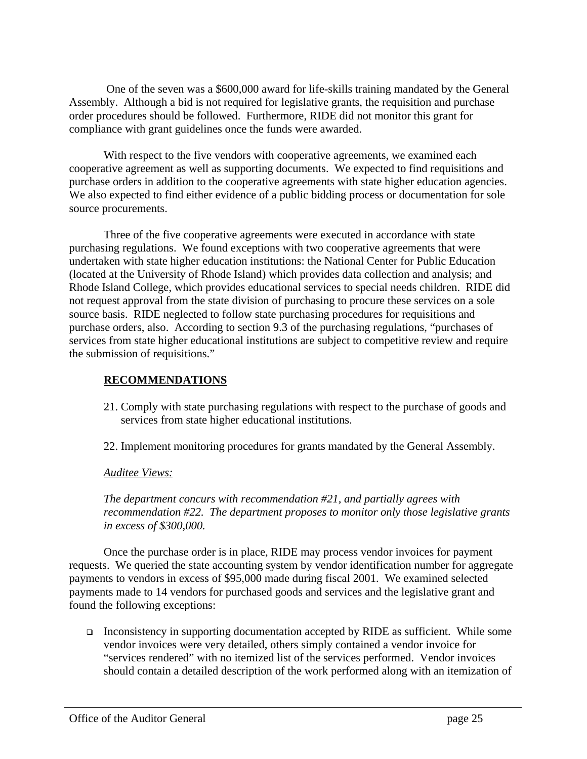One of the seven was a \$600,000 award for life-skills training mandated by the General Assembly. Although a bid is not required for legislative grants, the requisition and purchase order procedures should be followed. Furthermore, RIDE did not monitor this grant for compliance with grant guidelines once the funds were awarded.

With respect to the five vendors with cooperative agreements, we examined each cooperative agreement as well as supporting documents. We expected to find requisitions and purchase orders in addition to the cooperative agreements with state higher education agencies. We also expected to find either evidence of a public bidding process or documentation for sole source procurements.

Three of the five cooperative agreements were executed in accordance with state purchasing regulations. We found exceptions with two cooperative agreements that were undertaken with state higher education institutions: the National Center for Public Education (located at the University of Rhode Island) which provides data collection and analysis; and Rhode Island College, which provides educational services to special needs children. RIDE did not request approval from the state division of purchasing to procure these services on a sole source basis. RIDE neglected to follow state purchasing procedures for requisitions and purchase orders, also. According to section 9.3 of the purchasing regulations, "purchases of services from state higher educational institutions are subject to competitive review and require the submission of requisitions."

#### **RECOMMENDATIONS**

- 21. Comply with state purchasing regulations with respect to the purchase of goods and services from state higher educational institutions.
- 22. Implement monitoring procedures for grants mandated by the General Assembly.

*Auditee Views:*

*The department concurs with recommendation #21, and partially agrees with recommendation #22. The department proposes to monitor only those legislative grants in excess of \$300,000.*

Once the purchase order is in place, RIDE may process vendor invoices for payment requests. We queried the state accounting system by vendor identification number for aggregate payments to vendors in excess of \$95,000 made during fiscal 2001. We examined selected payments made to 14 vendors for purchased goods and services and the legislative grant and found the following exceptions:

 $\Box$  Inconsistency in supporting documentation accepted by RIDE as sufficient. While some vendor invoices were very detailed, others simply contained a vendor invoice for "services rendered" with no itemized list of the services performed. Vendor invoices should contain a detailed description of the work performed along with an itemization of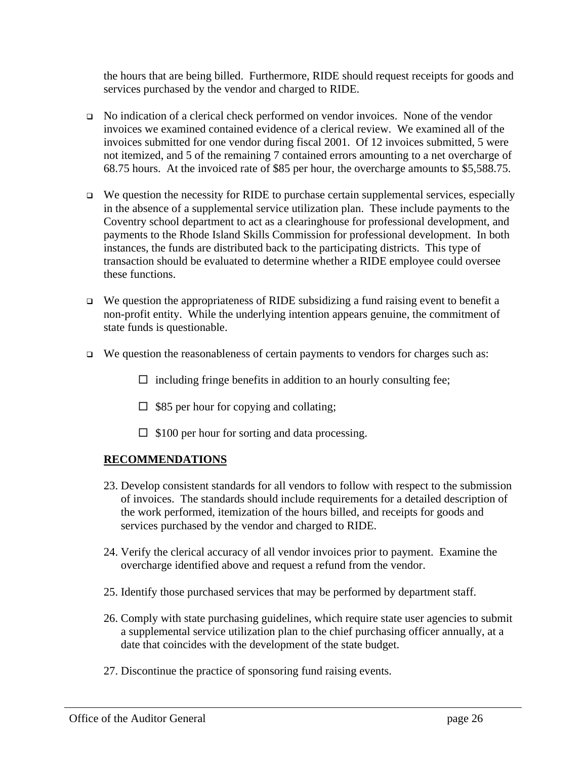the hours that are being billed. Furthermore, RIDE should request receipts for goods and services purchased by the vendor and charged to RIDE.

- <sup>q</sup> No indication of a clerical check performed on vendor invoices. None of the vendor invoices we examined contained evidence of a clerical review. We examined all of the invoices submitted for one vendor during fiscal 2001. Of 12 invoices submitted, 5 were not itemized, and 5 of the remaining 7 contained errors amounting to a net overcharge of 68.75 hours. At the invoiced rate of \$85 per hour, the overcharge amounts to \$5,588.75.
- $\Box$  We question the necessity for RIDE to purchase certain supplemental services, especially in the absence of a supplemental service utilization plan. These include payments to the Coventry school department to act as a clearinghouse for professional development, and payments to the Rhode Island Skills Commission for professional development. In both instances, the funds are distributed back to the participating districts. This type of transaction should be evaluated to determine whether a RIDE employee could oversee these functions.
- $\Box$  We question the appropriateness of RIDE subsidizing a fund raising event to benefit a non-profit entity. While the underlying intention appears genuine, the commitment of state funds is questionable.
- $\Box$  We question the reasonableness of certain payments to vendors for charges such as:
	- $\Box$  including fringe benefits in addition to an hourly consulting fee;
	- $\Box$  \$85 per hour for copying and collating;
	- $\Box$  \$100 per hour for sorting and data processing.

#### **RECOMMENDATIONS**

- 23. Develop consistent standards for all vendors to follow with respect to the submission of invoices. The standards should include requirements for a detailed description of the work performed, itemization of the hours billed, and receipts for goods and services purchased by the vendor and charged to RIDE.
- 24. Verify the clerical accuracy of all vendor invoices prior to payment. Examine the overcharge identified above and request a refund from the vendor.
- 25. Identify those purchased services that may be performed by department staff.
- 26. Comply with state purchasing guidelines, which require state user agencies to submit a supplemental service utilization plan to the chief purchasing officer annually, at a date that coincides with the development of the state budget.
- 27. Discontinue the practice of sponsoring fund raising events.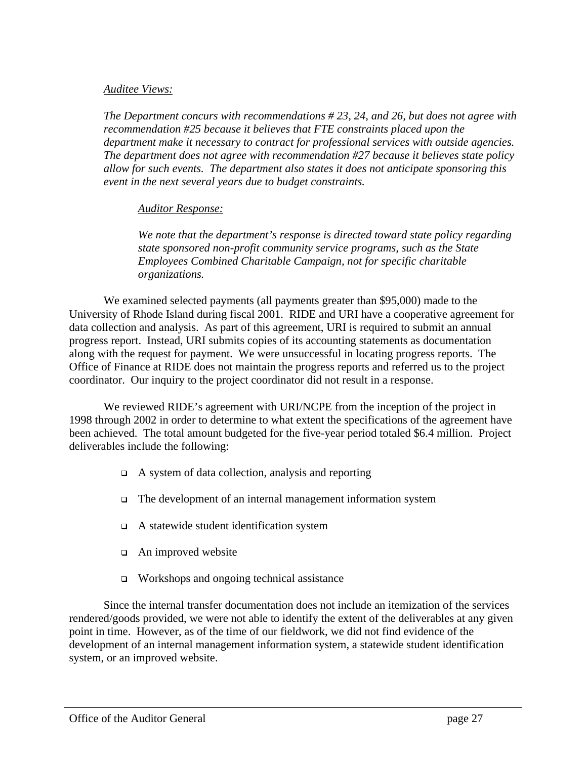#### *Auditee Views:*

*The Department concurs with recommendations # 23, 24, and 26, but does not agree with recommendation #25 because it believes that FTE constraints placed upon the department make it necessary to contract for professional services with outside agencies. The department does not agree with recommendation #27 because it believes state policy allow for such events. The department also states it does not anticipate sponsoring this event in the next several years due to budget constraints.*

#### *Auditor Response:*

*We note that the department's response is directed toward state policy regarding state sponsored non-profit community service programs, such as the State Employees Combined Charitable Campaign, not for specific charitable organizations.*

We examined selected payments (all payments greater than \$95,000) made to the University of Rhode Island during fiscal 2001. RIDE and URI have a cooperative agreement for data collection and analysis. As part of this agreement, URI is required to submit an annual progress report. Instead, URI submits copies of its accounting statements as documentation along with the request for payment. We were unsuccessful in locating progress reports. The Office of Finance at RIDE does not maintain the progress reports and referred us to the project coordinator. Our inquiry to the project coordinator did not result in a response.

We reviewed RIDE's agreement with URI/NCPE from the inception of the project in 1998 through 2002 in order to determine to what extent the specifications of the agreement have been achieved. The total amount budgeted for the five-year period totaled \$6.4 million. Project deliverables include the following:

- $\Box$  A system of data collection, analysis and reporting
- □ The development of an internal management information system
- <sup>q</sup> A statewide student identification system
- $\Box$  An improved website
- $\Box$  Workshops and ongoing technical assistance

Since the internal transfer documentation does not include an itemization of the services rendered/goods provided, we were not able to identify the extent of the deliverables at any given point in time. However, as of the time of our fieldwork, we did not find evidence of the development of an internal management information system, a statewide student identification system, or an improved website.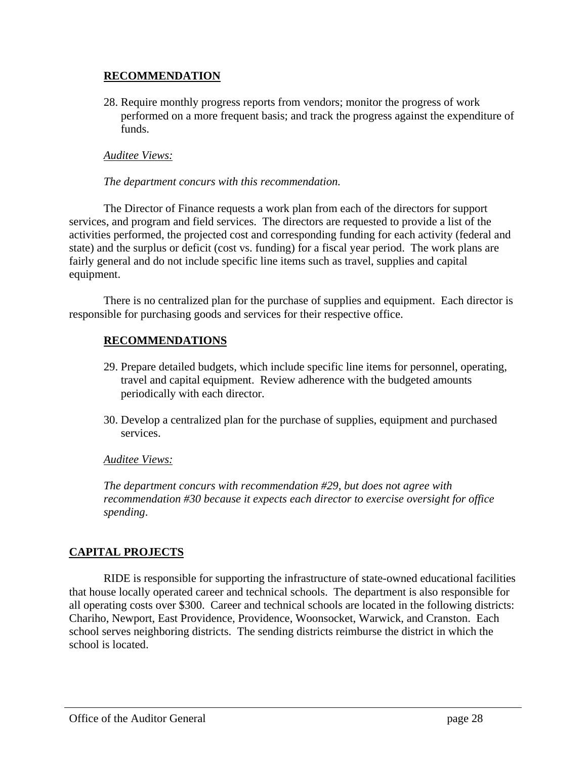#### **RECOMMENDATION**

28. Require monthly progress reports from vendors; monitor the progress of work performed on a more frequent basis; and track the progress against the expenditure of funds.

#### *Auditee Views:*

#### *The department concurs with this recommendation.*

The Director of Finance requests a work plan from each of the directors for support services, and program and field services. The directors are requested to provide a list of the activities performed, the projected cost and corresponding funding for each activity (federal and state) and the surplus or deficit (cost vs. funding) for a fiscal year period. The work plans are fairly general and do not include specific line items such as travel, supplies and capital equipment.

There is no centralized plan for the purchase of supplies and equipment. Each director is responsible for purchasing goods and services for their respective office.

# **RECOMMENDATIONS**

- 29. Prepare detailed budgets, which include specific line items for personnel, operating, travel and capital equipment. Review adherence with the budgeted amounts periodically with each director.
- 30. Develop a centralized plan for the purchase of supplies, equipment and purchased services.

#### *Auditee Views:*

*The department concurs with recommendation #29, but does not agree with recommendation #30 because it expects each director to exercise oversight for office spending*.

# **CAPITAL PROJECTS**

RIDE is responsible for supporting the infrastructure of state-owned educational facilities that house locally operated career and technical schools. The department is also responsible for all operating costs over \$300. Career and technical schools are located in the following districts: Chariho, Newport, East Providence, Providence, Woonsocket, Warwick, and Cranston. Each school serves neighboring districts. The sending districts reimburse the district in which the school is located.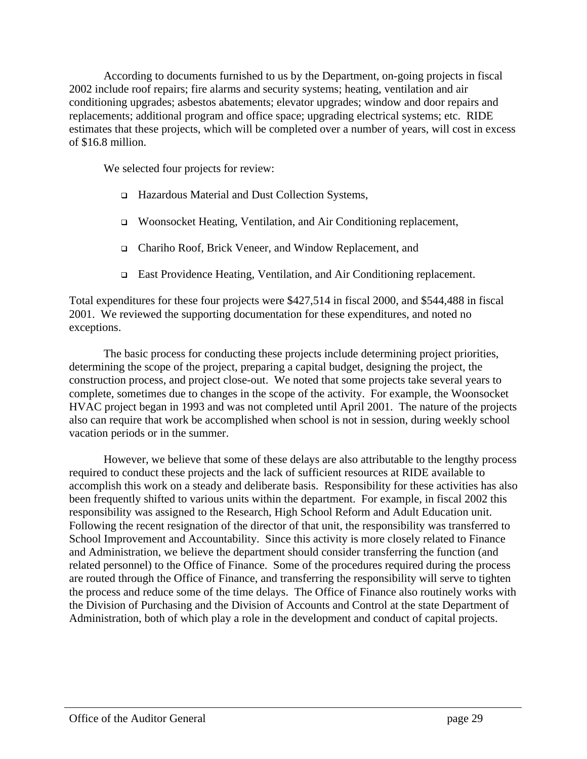According to documents furnished to us by the Department, on-going projects in fiscal 2002 include roof repairs; fire alarms and security systems; heating, ventilation and air conditioning upgrades; asbestos abatements; elevator upgrades; window and door repairs and replacements; additional program and office space; upgrading electrical systems; etc. RIDE estimates that these projects, which will be completed over a number of years, will cost in excess of \$16.8 million.

We selected four projects for review:

- <sup>q</sup> Hazardous Material and Dust Collection Systems,
- <sup>q</sup> Woonsocket Heating, Ventilation, and Air Conditioning replacement,
- <sup>q</sup> Chariho Roof, Brick Veneer, and Window Replacement, and
- <sup>q</sup> East Providence Heating, Ventilation, and Air Conditioning replacement.

Total expenditures for these four projects were \$427,514 in fiscal 2000, and \$544,488 in fiscal 2001. We reviewed the supporting documentation for these expenditures, and noted no exceptions.

The basic process for conducting these projects include determining project priorities, determining the scope of the project, preparing a capital budget, designing the project, the construction process, and project close-out. We noted that some projects take several years to complete, sometimes due to changes in the scope of the activity. For example, the Woonsocket HVAC project began in 1993 and was not completed until April 2001. The nature of the projects also can require that work be accomplished when school is not in session, during weekly school vacation periods or in the summer.

However, we believe that some of these delays are also attributable to the lengthy process required to conduct these projects and the lack of sufficient resources at RIDE available to accomplish this work on a steady and deliberate basis. Responsibility for these activities has also been frequently shifted to various units within the department. For example, in fiscal 2002 this responsibility was assigned to the Research, High School Reform and Adult Education unit. Following the recent resignation of the director of that unit, the responsibility was transferred to School Improvement and Accountability. Since this activity is more closely related to Finance and Administration, we believe the department should consider transferring the function (and related personnel) to the Office of Finance. Some of the procedures required during the process are routed through the Office of Finance, and transferring the responsibility will serve to tighten the process and reduce some of the time delays. The Office of Finance also routinely works with the Division of Purchasing and the Division of Accounts and Control at the state Department of Administration, both of which play a role in the development and conduct of capital projects.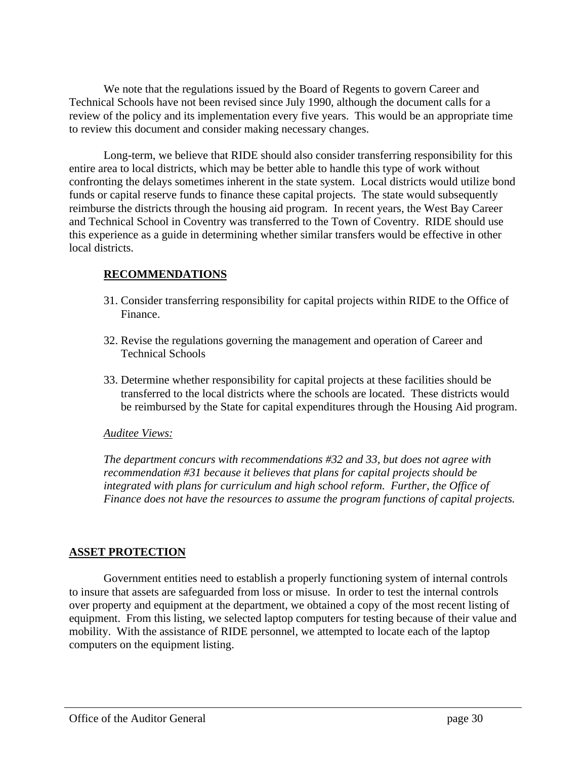We note that the regulations issued by the Board of Regents to govern Career and Technical Schools have not been revised since July 1990, although the document calls for a review of the policy and its implementation every five years. This would be an appropriate time to review this document and consider making necessary changes.

Long-term, we believe that RIDE should also consider transferring responsibility for this entire area to local districts, which may be better able to handle this type of work without confronting the delays sometimes inherent in the state system. Local districts would utilize bond funds or capital reserve funds to finance these capital projects. The state would subsequently reimburse the districts through the housing aid program. In recent years, the West Bay Career and Technical School in Coventry was transferred to the Town of Coventry. RIDE should use this experience as a guide in determining whether similar transfers would be effective in other local districts.

### **RECOMMENDATIONS**

- 31. Consider transferring responsibility for capital projects within RIDE to the Office of Finance.
- 32. Revise the regulations governing the management and operation of Career and Technical Schools
- 33. Determine whether responsibility for capital projects at these facilities should be transferred to the local districts where the schools are located. These districts would be reimbursed by the State for capital expenditures through the Housing Aid program.

#### *Auditee Views:*

*The department concurs with recommendations #32 and 33, but does not agree with recommendation #31 because it believes that plans for capital projects should be integrated with plans for curriculum and high school reform. Further, the Office of Finance does not have the resources to assume the program functions of capital projects.*

#### **ASSET PROTECTION**

Government entities need to establish a properly functioning system of internal controls to insure that assets are safeguarded from loss or misuse. In order to test the internal controls over property and equipment at the department, we obtained a copy of the most recent listing of equipment. From this listing, we selected laptop computers for testing because of their value and mobility. With the assistance of RIDE personnel, we attempted to locate each of the laptop computers on the equipment listing.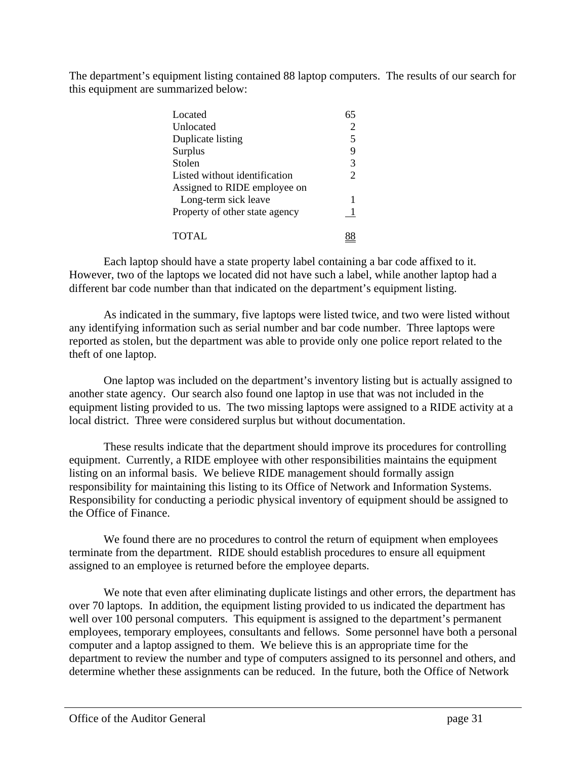The department's equipment listing contained 88 laptop computers. The results of our search for this equipment are summarized below:

| Located                        | 65             |
|--------------------------------|----------------|
| Unlocated                      | 2              |
| Duplicate listing              | 5              |
| Surplus                        | 9              |
| Stolen                         | 3              |
| Listed without identification  | $\overline{2}$ |
| Assigned to RIDE employee on   |                |
| Long-term sick leave           | 1              |
| Property of other state agency |                |
| TOTAL                          |                |

Each laptop should have a state property label containing a bar code affixed to it. However, two of the laptops we located did not have such a label, while another laptop had a different bar code number than that indicated on the department's equipment listing.

As indicated in the summary, five laptops were listed twice, and two were listed without any identifying information such as serial number and bar code number. Three laptops were reported as stolen, but the department was able to provide only one police report related to the theft of one laptop.

One laptop was included on the department's inventory listing but is actually assigned to another state agency. Our search also found one laptop in use that was not included in the equipment listing provided to us. The two missing laptops were assigned to a RIDE activity at a local district. Three were considered surplus but without documentation.

These results indicate that the department should improve its procedures for controlling equipment. Currently, a RIDE employee with other responsibilities maintains the equipment listing on an informal basis. We believe RIDE management should formally assign responsibility for maintaining this listing to its Office of Network and Information Systems. Responsibility for conducting a periodic physical inventory of equipment should be assigned to the Office of Finance.

We found there are no procedures to control the return of equipment when employees terminate from the department. RIDE should establish procedures to ensure all equipment assigned to an employee is returned before the employee departs.

We note that even after eliminating duplicate listings and other errors, the department has over 70 laptops. In addition, the equipment listing provided to us indicated the department has well over 100 personal computers. This equipment is assigned to the department's permanent employees, temporary employees, consultants and fellows. Some personnel have both a personal computer and a laptop assigned to them. We believe this is an appropriate time for the department to review the number and type of computers assigned to its personnel and others, and determine whether these assignments can be reduced. In the future, both the Office of Network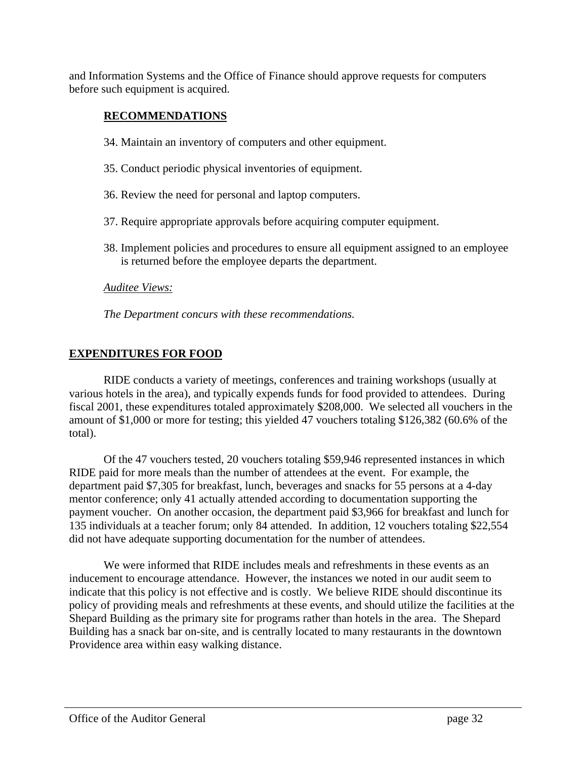and Information Systems and the Office of Finance should approve requests for computers before such equipment is acquired.

## **RECOMMENDATIONS**

- 34. Maintain an inventory of computers and other equipment.
- 35. Conduct periodic physical inventories of equipment.
- 36. Review the need for personal and laptop computers.
- 37. Require appropriate approvals before acquiring computer equipment.
- 38. Implement policies and procedures to ensure all equipment assigned to an employee is returned before the employee departs the department.

#### *Auditee Views:*

*The Department concurs with these recommendations.*

#### **EXPENDITURES FOR FOOD**

RIDE conducts a variety of meetings, conferences and training workshops (usually at various hotels in the area), and typically expends funds for food provided to attendees. During fiscal 2001, these expenditures totaled approximately \$208,000. We selected all vouchers in the amount of \$1,000 or more for testing; this yielded 47 vouchers totaling \$126,382 (60.6% of the total).

Of the 47 vouchers tested, 20 vouchers totaling \$59,946 represented instances in which RIDE paid for more meals than the number of attendees at the event. For example, the department paid \$7,305 for breakfast, lunch, beverages and snacks for 55 persons at a 4-day mentor conference; only 41 actually attended according to documentation supporting the payment voucher. On another occasion, the department paid \$3,966 for breakfast and lunch for 135 individuals at a teacher forum; only 84 attended. In addition, 12 vouchers totaling \$22,554 did not have adequate supporting documentation for the number of attendees.

We were informed that RIDE includes meals and refreshments in these events as an inducement to encourage attendance. However, the instances we noted in our audit seem to indicate that this policy is not effective and is costly. We believe RIDE should discontinue its policy of providing meals and refreshments at these events, and should utilize the facilities at the Shepard Building as the primary site for programs rather than hotels in the area. The Shepard Building has a snack bar on-site, and is centrally located to many restaurants in the downtown Providence area within easy walking distance.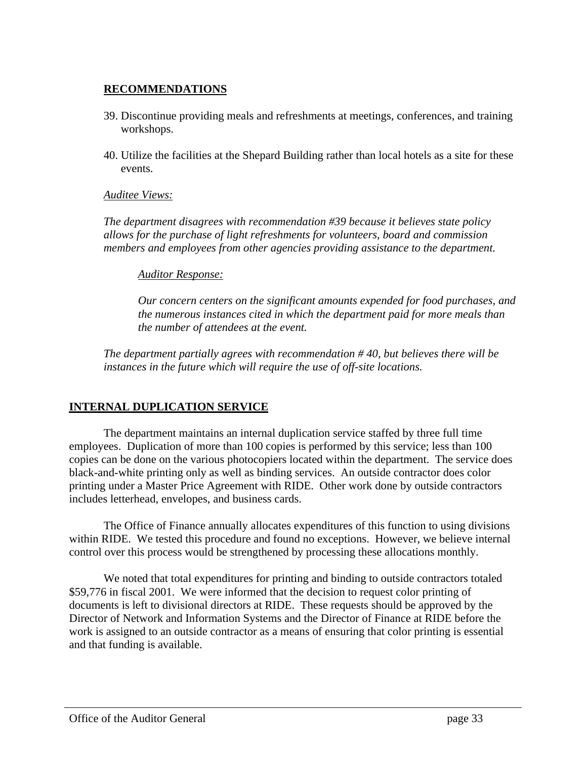### **RECOMMENDATIONS**

- 39. Discontinue providing meals and refreshments at meetings, conferences, and training workshops.
- 40. Utilize the facilities at the Shepard Building rather than local hotels as a site for these events.

#### *Auditee Views:*

*The department disagrees with recommendation #39 because it believes state policy allows for the purchase of light refreshments for volunteers, board and commission members and employees from other agencies providing assistance to the department.*

#### *Auditor Response:*

*Our concern centers on the significant amounts expended for food purchases, and the numerous instances cited in which the department paid for more meals than the number of attendees at the event.*

*The department partially agrees with recommendation # 40, but believes there will be instances in the future which will require the use of off-site locations.*

# **INTERNAL DUPLICATION SERVICE**

The department maintains an internal duplication service staffed by three full time employees. Duplication of more than 100 copies is performed by this service; less than 100 copies can be done on the various photocopiers located within the department. The service does black-and-white printing only as well as binding services. An outside contractor does color printing under a Master Price Agreement with RIDE. Other work done by outside contractors includes letterhead, envelopes, and business cards.

The Office of Finance annually allocates expenditures of this function to using divisions within RIDE. We tested this procedure and found no exceptions. However, we believe internal control over this process would be strengthened by processing these allocations monthly.

We noted that total expenditures for printing and binding to outside contractors totaled \$59,776 in fiscal 2001. We were informed that the decision to request color printing of documents is left to divisional directors at RIDE. These requests should be approved by the Director of Network and Information Systems and the Director of Finance at RIDE before the work is assigned to an outside contractor as a means of ensuring that color printing is essential and that funding is available.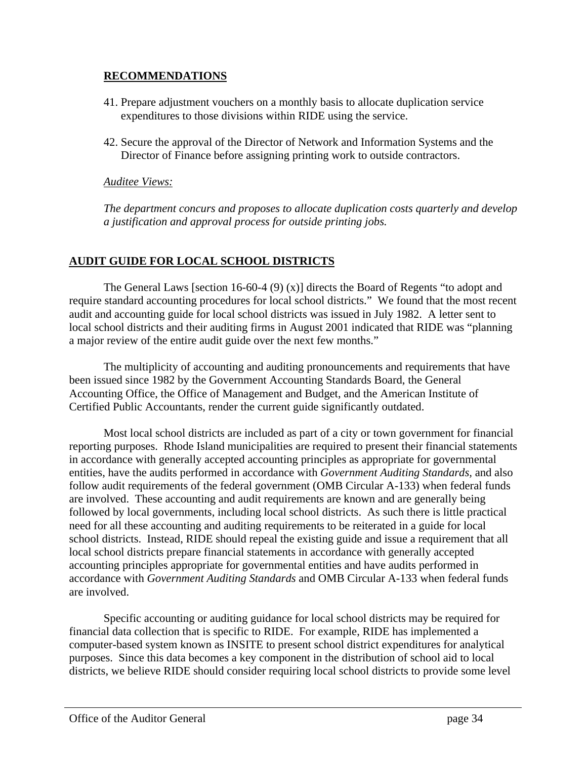#### **RECOMMENDATIONS**

- 41. Prepare adjustment vouchers on a monthly basis to allocate duplication service expenditures to those divisions within RIDE using the service.
- 42. Secure the approval of the Director of Network and Information Systems and the Director of Finance before assigning printing work to outside contractors.

#### *Auditee Views:*

*The department concurs and proposes to allocate duplication costs quarterly and develop a justification and approval process for outside printing jobs.*

# **AUDIT GUIDE FOR LOCAL SCHOOL DISTRICTS**

The General Laws [section 16-60-4 (9) (x)] directs the Board of Regents "to adopt and require standard accounting procedures for local school districts." We found that the most recent audit and accounting guide for local school districts was issued in July 1982. A letter sent to local school districts and their auditing firms in August 2001 indicated that RIDE was "planning a major review of the entire audit guide over the next few months."

The multiplicity of accounting and auditing pronouncements and requirements that have been issued since 1982 by the Government Accounting Standards Board, the General Accounting Office, the Office of Management and Budget, and the American Institute of Certified Public Accountants, render the current guide significantly outdated.

Most local school districts are included as part of a city or town government for financial reporting purposes. Rhode Island municipalities are required to present their financial statements in accordance with generally accepted accounting principles as appropriate for governmental entities, have the audits performed in accordance with *Government Auditing Standards,* and also follow audit requirements of the federal government (OMB Circular A-133) when federal funds are involved. These accounting and audit requirements are known and are generally being followed by local governments, including local school districts. As such there is little practical need for all these accounting and auditing requirements to be reiterated in a guide for local school districts. Instead, RIDE should repeal the existing guide and issue a requirement that all local school districts prepare financial statements in accordance with generally accepted accounting principles appropriate for governmental entities and have audits performed in accordance with *Government Auditing Standards* and OMB Circular A-133 when federal funds are involved.

Specific accounting or auditing guidance for local school districts may be required for financial data collection that is specific to RIDE. For example, RIDE has implemented a computer-based system known as INSITE to present school district expenditures for analytical purposes. Since this data becomes a key component in the distribution of school aid to local districts, we believe RIDE should consider requiring local school districts to provide some level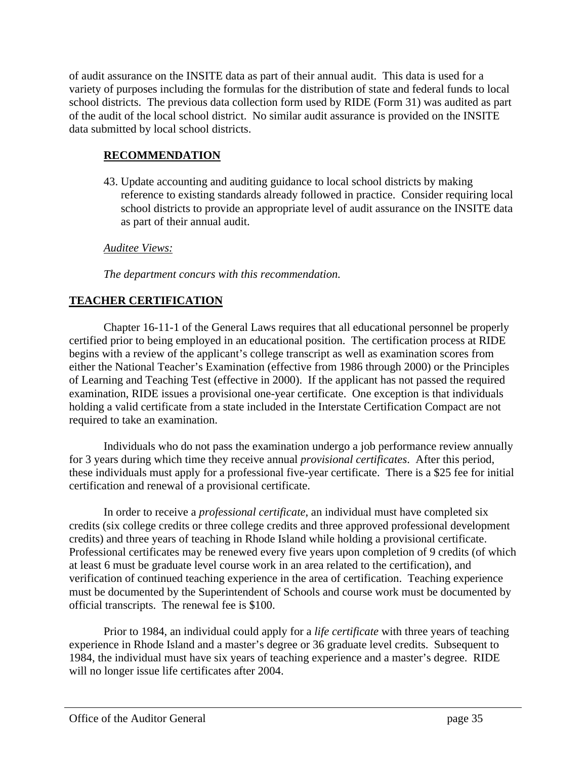of audit assurance on the INSITE data as part of their annual audit. This data is used for a variety of purposes including the formulas for the distribution of state and federal funds to local school districts. The previous data collection form used by RIDE (Form 31) was audited as part of the audit of the local school district. No similar audit assurance is provided on the INSITE data submitted by local school districts.

### **RECOMMENDATION**

43. Update accounting and auditing guidance to local school districts by making reference to existing standards already followed in practice. Consider requiring local school districts to provide an appropriate level of audit assurance on the INSITE data as part of their annual audit.

*Auditee Views:*

*The department concurs with this recommendation.*

### **TEACHER CERTIFICATION**

Chapter 16-11-1 of the General Laws requires that all educational personnel be properly certified prior to being employed in an educational position. The certification process at RIDE begins with a review of the applicant's college transcript as well as examination scores from either the National Teacher's Examination (effective from 1986 through 2000) or the Principles of Learning and Teaching Test (effective in 2000). If the applicant has not passed the required examination, RIDE issues a provisional one-year certificate. One exception is that individuals holding a valid certificate from a state included in the Interstate Certification Compact are not required to take an examination.

Individuals who do not pass the examination undergo a job performance review annually for 3 years during which time they receive annual *provisional certificates*. After this period, these individuals must apply for a professional five-year certificate. There is a \$25 fee for initial certification and renewal of a provisional certificate.

In order to receive a *professional certificate*, an individual must have completed six credits (six college credits or three college credits and three approved professional development credits) and three years of teaching in Rhode Island while holding a provisional certificate. Professional certificates may be renewed every five years upon completion of 9 credits (of which at least 6 must be graduate level course work in an area related to the certification), and verification of continued teaching experience in the area of certification. Teaching experience must be documented by the Superintendent of Schools and course work must be documented by official transcripts. The renewal fee is \$100.

Prior to 1984, an individual could apply for a *life certificate* with three years of teaching experience in Rhode Island and a master's degree or 36 graduate level credits. Subsequent to 1984, the individual must have six years of teaching experience and a master's degree. RIDE will no longer issue life certificates after 2004.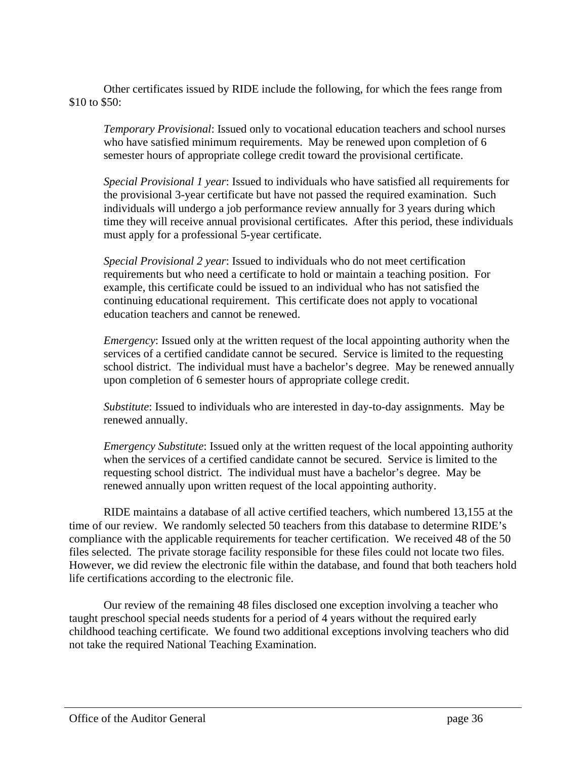Other certificates issued by RIDE include the following, for which the fees range from \$10 to \$50:

*Temporary Provisional*: Issued only to vocational education teachers and school nurses who have satisfied minimum requirements. May be renewed upon completion of 6 semester hours of appropriate college credit toward the provisional certificate.

*Special Provisional 1 year*: Issued to individuals who have satisfied all requirements for the provisional 3-year certificate but have not passed the required examination. Such individuals will undergo a job performance review annually for 3 years during which time they will receive annual provisional certificates. After this period, these individuals must apply for a professional 5-year certificate.

*Special Provisional 2 year*: Issued to individuals who do not meet certification requirements but who need a certificate to hold or maintain a teaching position. For example, this certificate could be issued to an individual who has not satisfied the continuing educational requirement. This certificate does not apply to vocational education teachers and cannot be renewed.

*Emergency*: Issued only at the written request of the local appointing authority when the services of a certified candidate cannot be secured. Service is limited to the requesting school district. The individual must have a bachelor's degree. May be renewed annually upon completion of 6 semester hours of appropriate college credit.

*Substitute*: Issued to individuals who are interested in day-to-day assignments. May be renewed annually.

*Emergency Substitute*: Issued only at the written request of the local appointing authority when the services of a certified candidate cannot be secured. Service is limited to the requesting school district. The individual must have a bachelor's degree. May be renewed annually upon written request of the local appointing authority.

RIDE maintains a database of all active certified teachers, which numbered 13,155 at the time of our review. We randomly selected 50 teachers from this database to determine RIDE's compliance with the applicable requirements for teacher certification. We received 48 of the 50 files selected. The private storage facility responsible for these files could not locate two files. However, we did review the electronic file within the database, and found that both teachers hold life certifications according to the electronic file.

Our review of the remaining 48 files disclosed one exception involving a teacher who taught preschool special needs students for a period of 4 years without the required early childhood teaching certificate. We found two additional exceptions involving teachers who did not take the required National Teaching Examination.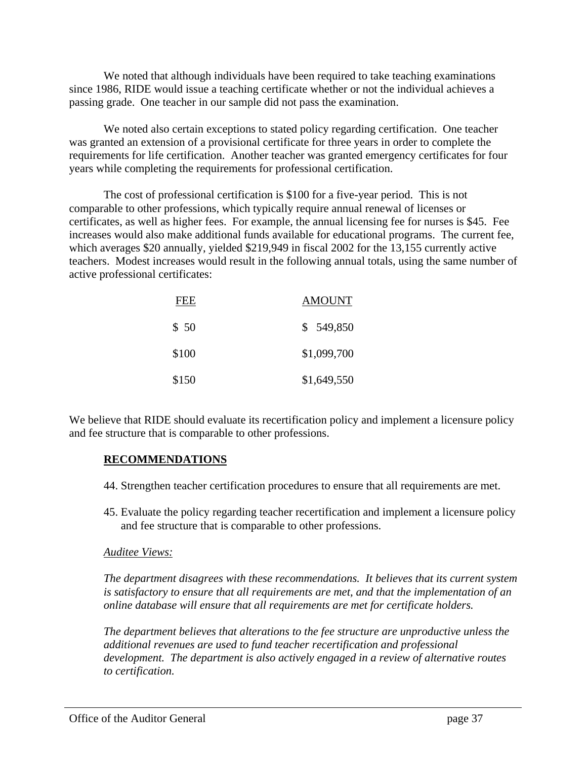We noted that although individuals have been required to take teaching examinations since 1986, RIDE would issue a teaching certificate whether or not the individual achieves a passing grade. One teacher in our sample did not pass the examination.

We noted also certain exceptions to stated policy regarding certification. One teacher was granted an extension of a provisional certificate for three years in order to complete the requirements for life certification. Another teacher was granted emergency certificates for four years while completing the requirements for professional certification.

The cost of professional certification is \$100 for a five-year period. This is not comparable to other professions, which typically require annual renewal of licenses or certificates, as well as higher fees. For example, the annual licensing fee for nurses is \$45. Fee increases would also make additional funds available for educational programs. The current fee, which averages \$20 annually, yielded \$219,949 in fiscal 2002 for the 13,155 currently active teachers. Modest increases would result in the following annual totals, using the same number of active professional certificates:

| FEE   | <b>AMOUNT</b> |
|-------|---------------|
| \$50  | \$549,850     |
| \$100 | \$1,099,700   |
| \$150 | \$1,649,550   |

We believe that RIDE should evaluate its recertification policy and implement a licensure policy and fee structure that is comparable to other professions.

#### **RECOMMENDATIONS**

- 44. Strengthen teacher certification procedures to ensure that all requirements are met.
- 45. Evaluate the policy regarding teacher recertification and implement a licensure policy and fee structure that is comparable to other professions.

#### *Auditee Views:*

*The department disagrees with these recommendations. It believes that its current system is satisfactory to ensure that all requirements are met, and that the implementation of an online database will ensure that all requirements are met for certificate holders.*

*The department believes that alterations to the fee structure are unproductive unless the additional revenues are used to fund teacher recertification and professional development. The department is also actively engaged in a review of alternative routes to certification.*